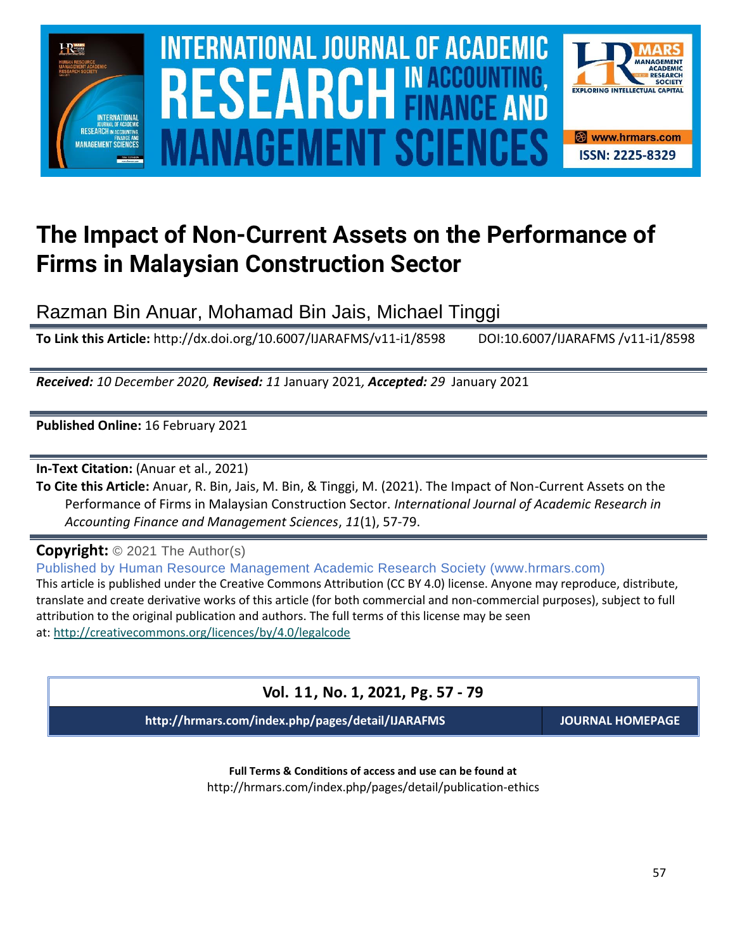

# **The Impact of Non-Current Assets on the Performance of Firms in Malaysian Construction Sector**

Razman Bin Anuar, Mohamad Bin Jais, Michael Tinggi

**To Link this Article:** http://dx.doi.org/10.6007/IJARAFMS/v11-i1/8598 DOI:10.6007/IJARAFMS /v11-i1/8598

*Received: 10 December 2020, Revised: 11* January 2021*, Accepted: 29* January 2021

**Published Online:** 16 February 2021

**In-Text Citation:** (Anuar et al., 2021)

**To Cite this Article:** Anuar, R. Bin, Jais, M. Bin, & Tinggi, M. (2021). The Impact of Non-Current Assets on the Performance of Firms in Malaysian Construction Sector. *International Journal of Academic Research in Accounting Finance and Management Sciences*, *11*(1), 57-79.

**Copyright:** © 2021 The Author(s)

Published by Human Resource Management Academic Research Society (www.hrmars.com) This article is published under the Creative Commons Attribution (CC BY 4.0) license. Anyone may reproduce, distribute, translate and create derivative works of this article (for both commercial and non-commercial purposes), subject to full attribution to the original publication and authors. The full terms of this license may be seen at: <http://creativecommons.org/licences/by/4.0/legalcode>

# **Vol. 11, No. 1, 2021, Pg. 57 - 79**

**http://hrmars.com/index.php/pages/detail/IJARAFMS JOURNAL HOMEPAGE**

**Full Terms & Conditions of access and use can be found at** http://hrmars.com/index.php/pages/detail/publication-ethics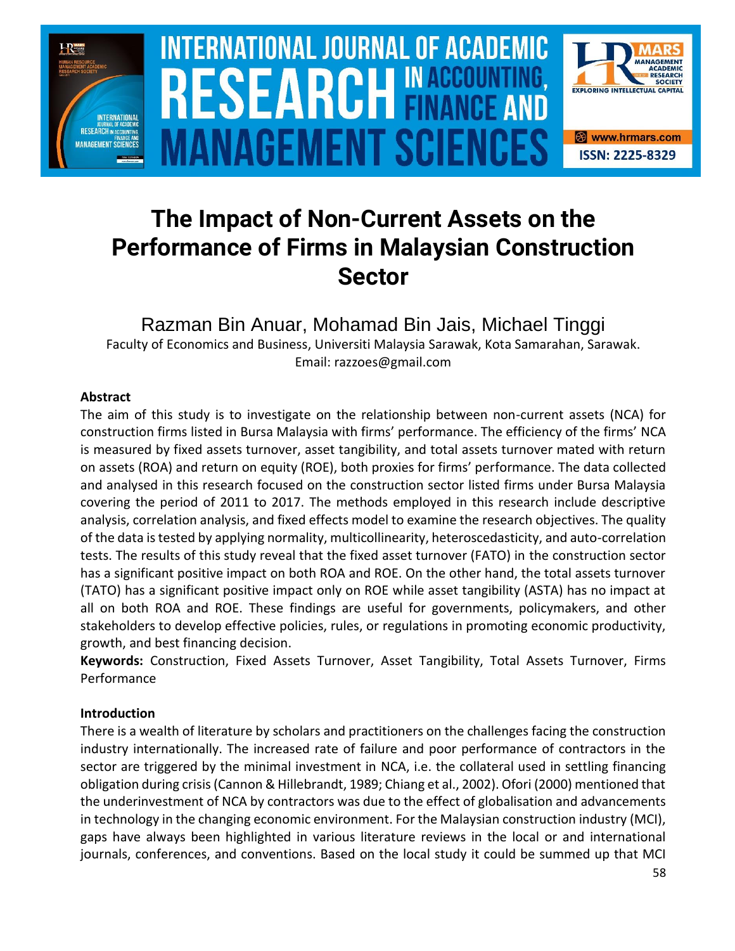

# **INTERNATIONAL JOURNAL OF ACADEMIC** SOURCE NEWSLET AND RELEASE OF THE SCIENCE OF THE SCIENCE OF THE SCIENCE OF THE SCIENCE OF THE SCIENCE OF THE SCIENCE **Vol. 1 1 , No. 1, 2021, E-ISSN: 2225-8329 © 2021 HRMARS ANAGEMENT SCIEI**



# **The Impact of Non-Current Assets on the Performance of Firms in Malaysian Construction Sector**

Razman Bin Anuar, Mohamad Bin Jais, Michael Tinggi Faculty of Economics and Business, Universiti Malaysia Sarawak, Kota Samarahan, Sarawak. Email: razzoes@gmail.com

# **Abstract**

The aim of this study is to investigate on the relationship between non-current assets (NCA) for construction firms listed in Bursa Malaysia with firms' performance. The efficiency of the firms' NCA is measured by fixed assets turnover, asset tangibility, and total assets turnover mated with return on assets (ROA) and return on equity (ROE), both proxies for firms' performance. The data collected and analysed in this research focused on the construction sector listed firms under Bursa Malaysia covering the period of 2011 to 2017. The methods employed in this research include descriptive analysis, correlation analysis, and fixed effects model to examine the research objectives. The quality of the data is tested by applying normality, multicollinearity, heteroscedasticity, and auto-correlation tests. The results of this study reveal that the fixed asset turnover (FATO) in the construction sector has a significant positive impact on both ROA and ROE. On the other hand, the total assets turnover (TATO) has a significant positive impact only on ROE while asset tangibility (ASTA) has no impact at all on both ROA and ROE. These findings are useful for governments, policymakers, and other stakeholders to develop effective policies, rules, or regulations in promoting economic productivity, growth, and best financing decision.

**Keywords:** Construction, Fixed Assets Turnover, Asset Tangibility, Total Assets Turnover, Firms Performance

# **Introduction**

There is a wealth of literature by scholars and practitioners on the challenges facing the construction industry internationally. The increased rate of failure and poor performance of contractors in the sector are triggered by the minimal investment in NCA, i.e. the collateral used in settling financing obligation during crisis (Cannon & Hillebrandt, 1989; Chiang et al., 2002). Ofori (2000) mentioned that the underinvestment of NCA by contractors was due to the effect of globalisation and advancements in technology in the changing economic environment. For the Malaysian construction industry (MCI), gaps have always been highlighted in various literature reviews in the local or and international journals, conferences, and conventions. Based on the local study it could be summed up that MCI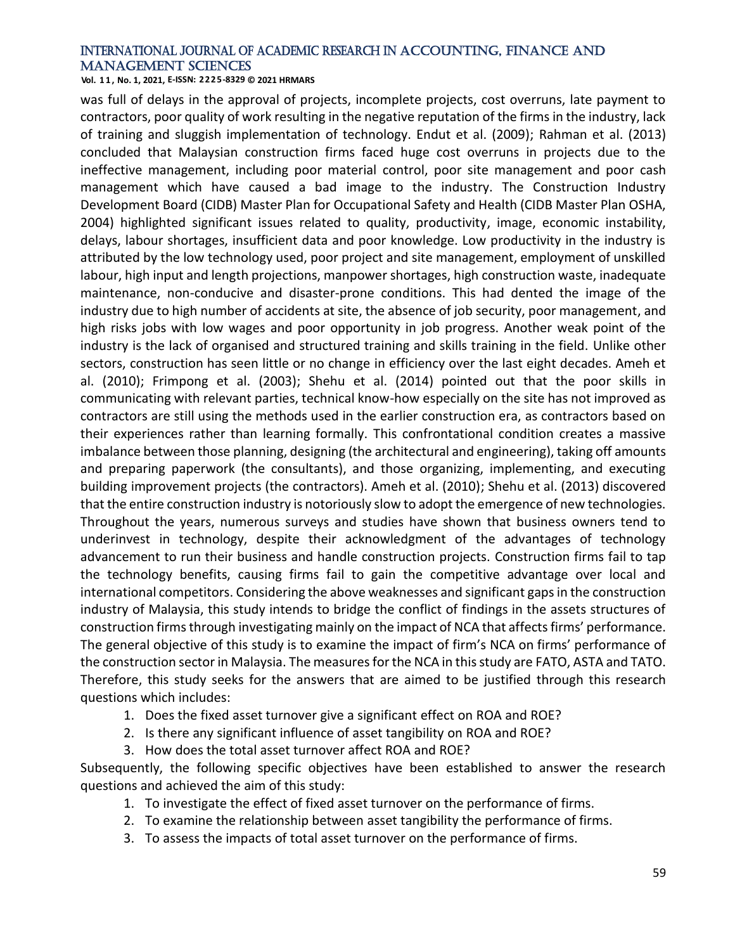**Vol. 1 1 , No. 1, 2021, E-ISSN: 2225-8329 © 2021 HRMARS**

was full of delays in the approval of projects, incomplete projects, cost overruns, late payment to contractors, poor quality of work resulting in the negative reputation of the firms in the industry, lack of training and sluggish implementation of technology. Endut et al. (2009); Rahman et al. (2013) concluded that Malaysian construction firms faced huge cost overruns in projects due to the ineffective management, including poor material control, poor site management and poor cash management which have caused a bad image to the industry. The Construction Industry Development Board (CIDB) Master Plan for Occupational Safety and Health (CIDB Master Plan OSHA, 2004) highlighted significant issues related to quality, productivity, image, economic instability, delays, labour shortages, insufficient data and poor knowledge. Low productivity in the industry is attributed by the low technology used, poor project and site management, employment of unskilled labour, high input and length projections, manpower shortages, high construction waste, inadequate maintenance, non-conducive and disaster-prone conditions. This had dented the image of the industry due to high number of accidents at site, the absence of job security, poor management, and high risks jobs with low wages and poor opportunity in job progress. Another weak point of the industry is the lack of organised and structured training and skills training in the field. Unlike other sectors, construction has seen little or no change in efficiency over the last eight decades. Ameh et al. (2010); Frimpong et al. (2003); Shehu et al. (2014) pointed out that the poor skills in communicating with relevant parties, technical know-how especially on the site has not improved as contractors are still using the methods used in the earlier construction era, as contractors based on their experiences rather than learning formally. This confrontational condition creates a massive imbalance between those planning, designing (the architectural and engineering), taking off amounts and preparing paperwork (the consultants), and those organizing, implementing, and executing building improvement projects (the contractors). Ameh et al. (2010); Shehu et al. (2013) discovered that the entire construction industry is notoriously slow to adopt the emergence of new technologies. Throughout the years, numerous surveys and studies have shown that business owners tend to underinvest in technology, despite their acknowledgment of the advantages of technology advancement to run their business and handle construction projects. Construction firms fail to tap the technology benefits, causing firms fail to gain the competitive advantage over local and international competitors. Considering the above weaknesses and significant gaps in the construction industry of Malaysia, this study intends to bridge the conflict of findings in the assets structures of construction firms through investigating mainly on the impact of NCA that affects firms' performance. The general objective of this study is to examine the impact of firm's NCA on firms' performance of the construction sector in Malaysia. The measures for the NCA in this study are FATO, ASTA and TATO. Therefore, this study seeks for the answers that are aimed to be justified through this research questions which includes:

- 1. Does the fixed asset turnover give a significant effect on ROA and ROE?
- 2. Is there any significant influence of asset tangibility on ROA and ROE?
- 3. How does the total asset turnover affect ROA and ROE?

Subsequently, the following specific objectives have been established to answer the research questions and achieved the aim of this study:

- 1. To investigate the effect of fixed asset turnover on the performance of firms.
- 2. To examine the relationship between asset tangibility the performance of firms.
- 3. To assess the impacts of total asset turnover on the performance of firms.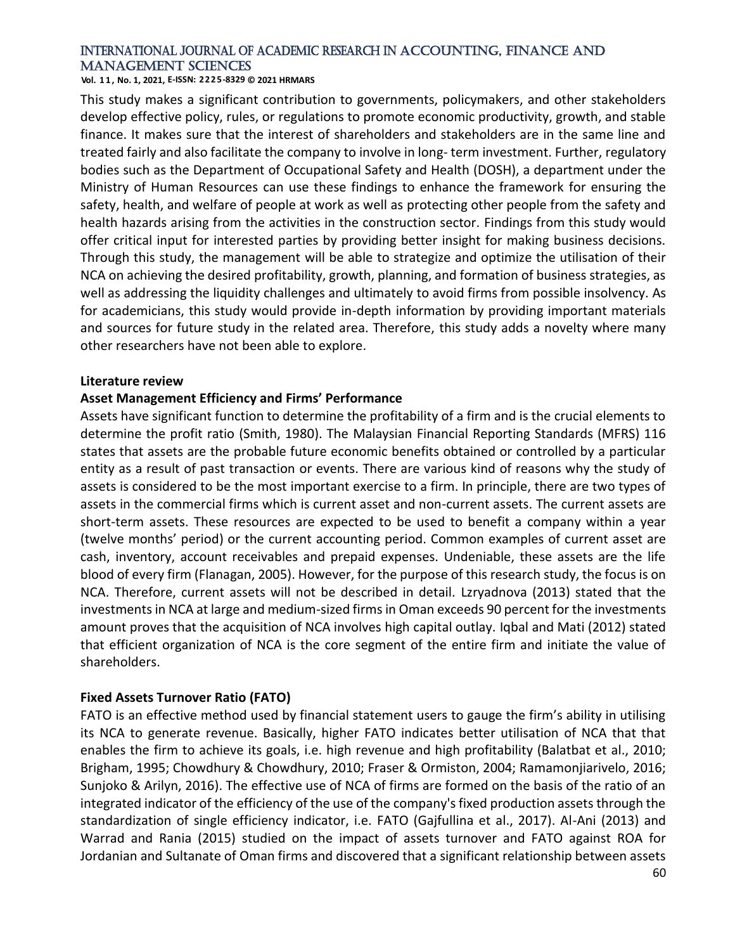**Vol. 1 1 , No. 1, 2021, E-ISSN: 2225-8329 © 2021 HRMARS**

This study makes a significant contribution to governments, policymakers, and other stakeholders develop effective policy, rules, or regulations to promote economic productivity, growth, and stable finance. It makes sure that the interest of shareholders and stakeholders are in the same line and treated fairly and also facilitate the company to involve in long- term investment. Further, regulatory bodies such as the Department of Occupational Safety and Health (DOSH), a department under the Ministry of Human Resources can use these findings to enhance the framework for ensuring the safety, health, and welfare of people at work as well as protecting other people from the safety and health hazards arising from the activities in the construction sector. Findings from this study would offer critical input for interested parties by providing better insight for making business decisions. Through this study, the management will be able to strategize and optimize the utilisation of their NCA on achieving the desired profitability, growth, planning, and formation of business strategies, as well as addressing the liquidity challenges and ultimately to avoid firms from possible insolvency. As for academicians, this study would provide in-depth information by providing important materials and sources for future study in the related area. Therefore, this study adds a novelty where many other researchers have not been able to explore.

#### **Literature review**

# **Asset Management Efficiency and Firms' Performance**

Assets have significant function to determine the profitability of a firm and is the crucial elements to determine the profit ratio (Smith, 1980). The Malaysian Financial Reporting Standards (MFRS) 116 states that assets are the probable future economic benefits obtained or controlled by a particular entity as a result of past transaction or events. There are various kind of reasons why the study of assets is considered to be the most important exercise to a firm. In principle, there are two types of assets in the commercial firms which is current asset and non-current assets. The current assets are short-term assets. These resources are expected to be used to benefit a company within a year (twelve months' period) or the current accounting period. Common examples of current asset are cash, inventory, account receivables and prepaid expenses. Undeniable, these assets are the life blood of every firm (Flanagan, 2005). However, for the purpose of this research study, the focus is on NCA. Therefore, current assets will not be described in detail. Lzryadnova (2013) stated that the investments in NCA at large and medium-sized firms in Oman exceeds 90 percent for the investments amount proves that the acquisition of NCA involves high capital outlay. Iqbal and Mati (2012) stated that efficient organization of NCA is the core segment of the entire firm and initiate the value of shareholders.

# **Fixed Assets Turnover Ratio (FATO)**

FATO is an effective method used by financial statement users to gauge the firm's ability in utilising its NCA to generate revenue. Basically, higher FATO indicates better utilisation of NCA that that enables the firm to achieve its goals, i.e. high revenue and high profitability (Balatbat et al., 2010; Brigham, 1995; Chowdhury & Chowdhury, 2010; Fraser & Ormiston, 2004; Ramamonjiarivelo, 2016; Sunjoko & Arilyn, 2016). The effective use of NCA of firms are formed on the basis of the ratio of an integrated indicator of the efficiency of the use of the company's fixed production assets through the standardization of single efficiency indicator, i.e. FATO (Gajfullina et al., 2017). Al-Ani (2013) and Warrad and Rania (2015) studied on the impact of assets turnover and FATO against ROA for Jordanian and Sultanate of Oman firms and discovered that a significant relationship between assets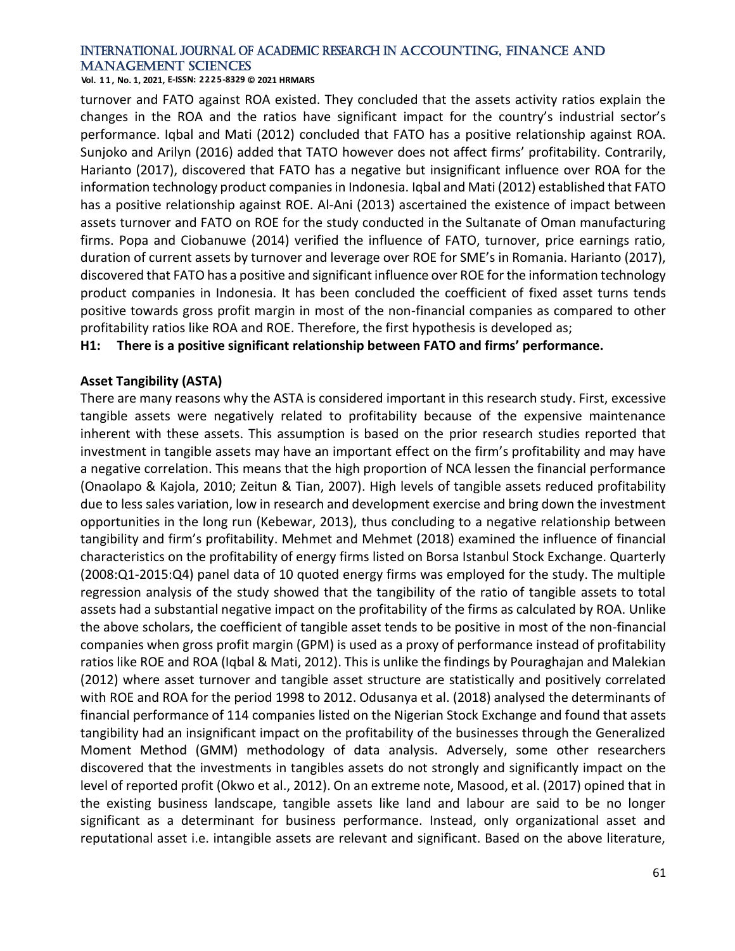**Vol. 1 1 , No. 1, 2021, E-ISSN: 2225-8329 © 2021 HRMARS**

turnover and FATO against ROA existed. They concluded that the assets activity ratios explain the changes in the ROA and the ratios have significant impact for the country's industrial sector's performance. Iqbal and Mati (2012) concluded that FATO has a positive relationship against ROA. Sunjoko and Arilyn (2016) added that TATO however does not affect firms' profitability. Contrarily, Harianto (2017), discovered that FATO has a negative but insignificant influence over ROA for the information technology product companies in Indonesia. Iqbal and Mati (2012) established that FATO has a positive relationship against ROE. Al-Ani (2013) ascertained the existence of impact between assets turnover and FATO on ROE for the study conducted in the Sultanate of Oman manufacturing firms. Popa and Ciobanuwe (2014) verified the influence of FATO, turnover, price earnings ratio, duration of current assets by turnover and leverage over ROE for SME's in Romania. Harianto (2017), discovered that FATO has a positive and significant influence over ROE for the information technology product companies in Indonesia. It has been concluded the coefficient of fixed asset turns tends positive towards gross profit margin in most of the non-financial companies as compared to other profitability ratios like ROA and ROE. Therefore, the first hypothesis is developed as;

# **H1: There is a positive significant relationship between FATO and firms' performance.**

#### **Asset Tangibility (ASTA)**

There are many reasons why the ASTA is considered important in this research study. First, excessive tangible assets were negatively related to profitability because of the expensive maintenance inherent with these assets. This assumption is based on the prior research studies reported that investment in tangible assets may have an important effect on the firm's profitability and may have a negative correlation. This means that the high proportion of NCA lessen the financial performance (Onaolapo & Kajola, 2010; Zeitun & Tian, 2007). High levels of tangible assets reduced profitability due to less sales variation, low in research and development exercise and bring down the investment opportunities in the long run (Kebewar, 2013), thus concluding to a negative relationship between tangibility and firm's profitability. Mehmet and Mehmet (2018) examined the influence of financial characteristics on the profitability of energy firms listed on Borsa Istanbul Stock Exchange. Quarterly (2008:Q1-2015:Q4) panel data of 10 quoted energy firms was employed for the study. The multiple regression analysis of the study showed that the tangibility of the ratio of tangible assets to total assets had a substantial negative impact on the profitability of the firms as calculated by ROA. Unlike the above scholars, the coefficient of tangible asset tends to be positive in most of the non-financial companies when gross profit margin (GPM) is used as a proxy of performance instead of profitability ratios like ROE and ROA (Iqbal & Mati, 2012). This is unlike the findings by Pouraghajan and Malekian (2012) where asset turnover and tangible asset structure are statistically and positively correlated with ROE and ROA for the period 1998 to 2012. Odusanya et al. (2018) analysed the determinants of financial performance of 114 companies listed on the Nigerian Stock Exchange and found that assets tangibility had an insignificant impact on the profitability of the businesses through the Generalized Moment Method (GMM) methodology of data analysis. Adversely, some other researchers discovered that the investments in tangibles assets do not strongly and significantly impact on the level of reported profit (Okwo et al., 2012). On an extreme note, Masood, et al. (2017) opined that in the existing business landscape, tangible assets like land and labour are said to be no longer significant as a determinant for business performance. Instead, only organizational asset and reputational asset i.e. intangible assets are relevant and significant. Based on the above literature,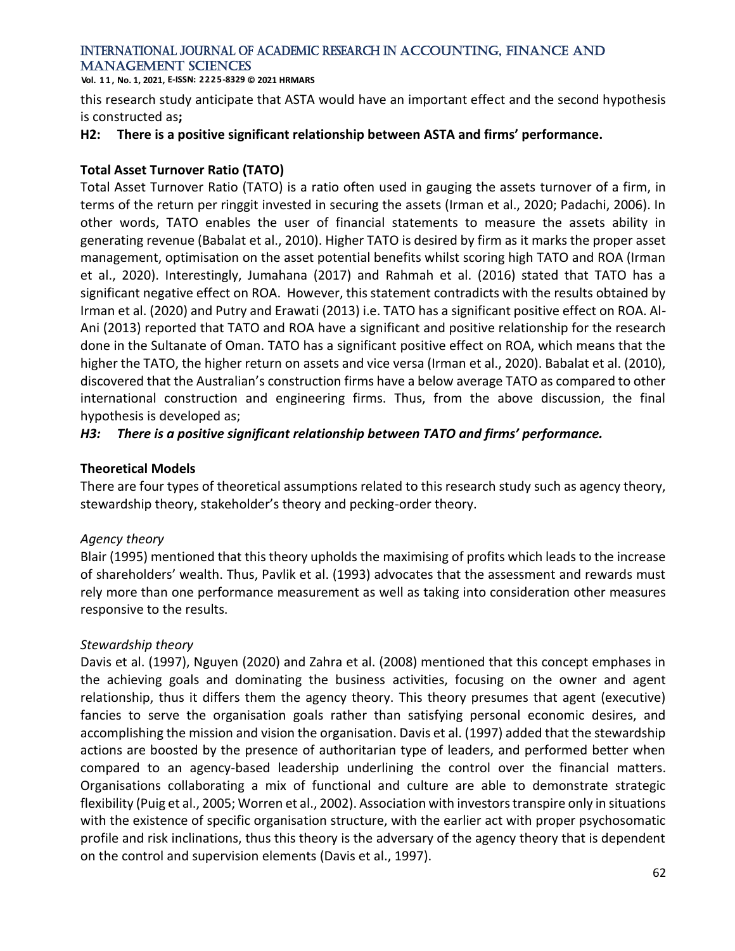**Vol. 1 1 , No. 1, 2021, E-ISSN: 2225-8329 © 2021 HRMARS**

this research study anticipate that ASTA would have an important effect and the second hypothesis is constructed as**;**

# **H2: There is a positive significant relationship between ASTA and firms' performance.**

# **Total Asset Turnover Ratio (TATO)**

Total Asset Turnover Ratio (TATO) is a ratio often used in gauging the assets turnover of a firm, in terms of the return per ringgit invested in securing the assets (Irman et al., 2020; Padachi, 2006). In other words, TATO enables the user of financial statements to measure the assets ability in generating revenue (Babalat et al., 2010). Higher TATO is desired by firm as it marks the proper asset management, optimisation on the asset potential benefits whilst scoring high TATO and ROA (Irman et al., 2020). Interestingly, Jumahana (2017) and Rahmah et al. (2016) stated that TATO has a significant negative effect on ROA. However, this statement contradicts with the results obtained by Irman et al. (2020) and Putry and Erawati (2013) i.e. TATO has a significant positive effect on ROA. Al-Ani (2013) reported that TATO and ROA have a significant and positive relationship for the research done in the Sultanate of Oman. TATO has a significant positive effect on ROA, which means that the higher the TATO, the higher return on assets and vice versa (Irman et al., 2020). Babalat et al. (2010), discovered that the Australian's construction firms have a below average TATO as compared to other international construction and engineering firms. Thus, from the above discussion, the final hypothesis is developed as;

# *H3: There is a positive significant relationship between TATO and firms' performance.*

# **Theoretical Models**

There are four types of theoretical assumptions related to this research study such as agency theory, stewardship theory, stakeholder's theory and pecking-order theory.

# *Agency theory*

Blair (1995) mentioned that this theory upholds the maximising of profits which leads to the increase of shareholders' wealth. Thus, Pavlik et al. (1993) advocates that the assessment and rewards must rely more than one performance measurement as well as taking into consideration other measures responsive to the results.

# *Stewardship theory*

Davis et al. (1997), Nguyen (2020) and Zahra et al. (2008) mentioned that this concept emphases in the achieving goals and dominating the business activities, focusing on the owner and agent relationship, thus it differs them the agency theory. This theory presumes that agent (executive) fancies to serve the organisation goals rather than satisfying personal economic desires, and accomplishing the mission and vision the organisation. Davis et al. (1997) added that the stewardship actions are boosted by the presence of authoritarian type of leaders, and performed better when compared to an agency-based leadership underlining the control over the financial matters. Organisations collaborating a mix of functional and culture are able to demonstrate strategic flexibility (Puig et al., 2005; Worren et al., 2002). Association with investors transpire only in situations with the existence of specific organisation structure, with the earlier act with proper psychosomatic profile and risk inclinations, thus this theory is the adversary of the agency theory that is dependent on the control and supervision elements (Davis et al., 1997).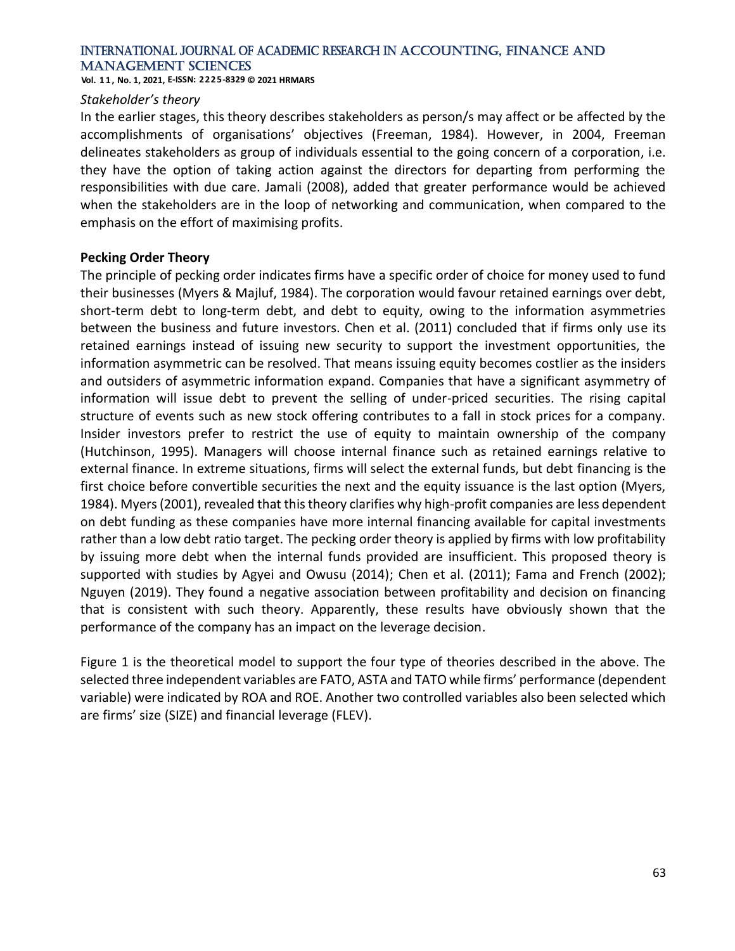**Vol. 1 1 , No. 1, 2021, E-ISSN: 2225-8329 © 2021 HRMARS**

#### *Stakeholder's theory*

In the earlier stages, this theory describes stakeholders as person/s may affect or be affected by the accomplishments of organisations' objectives (Freeman, 1984). However, in 2004, Freeman delineates stakeholders as group of individuals essential to the going concern of a corporation, i.e. they have the option of taking action against the directors for departing from performing the responsibilities with due care. Jamali (2008), added that greater performance would be achieved when the stakeholders are in the loop of networking and communication, when compared to the emphasis on the effort of maximising profits.

# **Pecking Order Theory**

The principle of pecking order indicates firms have a specific order of choice for money used to fund their businesses (Myers & Majluf, 1984). The corporation would favour retained earnings over debt, short-term debt to long-term debt, and debt to equity, owing to the information asymmetries between the business and future investors. Chen et al. (2011) concluded that if firms only use its retained earnings instead of issuing new security to support the investment opportunities, the information asymmetric can be resolved. That means issuing equity becomes costlier as the insiders and outsiders of asymmetric information expand. Companies that have a significant asymmetry of information will issue debt to prevent the selling of under-priced securities. The rising capital structure of events such as new stock offering contributes to a fall in stock prices for a company. Insider investors prefer to restrict the use of equity to maintain ownership of the company (Hutchinson, 1995). Managers will choose internal finance such as retained earnings relative to external finance. In extreme situations, firms will select the external funds, but debt financing is the first choice before convertible securities the next and the equity issuance is the last option (Myers, 1984). Myers (2001), revealed that this theory clarifies why high-profit companies are less dependent on debt funding as these companies have more internal financing available for capital investments rather than a low debt ratio target. The pecking order theory is applied by firms with low profitability by issuing more debt when the internal funds provided are insufficient. This proposed theory is supported with studies by Agyei and Owusu (2014); Chen et al. (2011); Fama and French (2002); Nguyen (2019). They found a negative association between profitability and decision on financing that is consistent with such theory. Apparently, these results have obviously shown that the performance of the company has an impact on the leverage decision.

Figure 1 is the theoretical model to support the four type of theories described in the above. The selected three independent variables are FATO, ASTA and TATO while firms' performance (dependent variable) were indicated by ROA and ROE. Another two controlled variables also been selected which are firms' size (SIZE) and financial leverage (FLEV).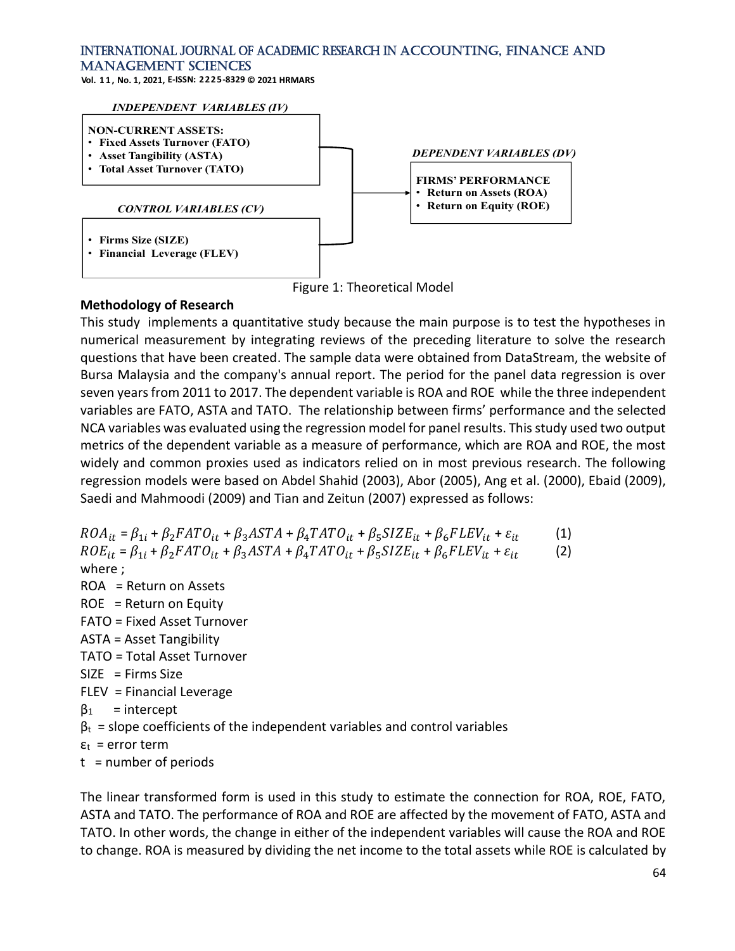**Vol. 1 1 , No. 1, 2021, E-ISSN: 2225-8329 © 2021 HRMARS**



Figure 1: Theoretical Model

# **Methodology of Research**

This study implements a quantitative study because the main purpose is to test the hypotheses in numerical measurement by integrating reviews of the preceding literature to solve the research questions that have been created. The sample data were obtained from DataStream, the website of Bursa Malaysia and the company's annual report. The period for the panel data regression is over seven years from 2011 to 2017. The dependent variable is ROA and ROE while the three independent variables are FATO, ASTA and TATO. The relationship between firms' performance and the selected NCA variables was evaluated using the regression model for panel results. This study used two output metrics of the dependent variable as a measure of performance, which are ROA and ROE, the most widely and common proxies used as indicators relied on in most previous research. The following regression models were based on Abdel Shahid (2003), Abor (2005), Ang et al. (2000), Ebaid (2009), Saedi and Mahmoodi (2009) and Tian and Zeitun (2007) expressed as follows:

 $ROA_{it} = \beta_{1i} + \beta_{2}FATO_{it} + \beta_{3}ASTA + \beta_{4}TATO_{it} + \beta_{5}SIZE_{it} + \beta_{6}FLEV_{it} + \varepsilon_{it}$  (1)  $ROE_{it} = \beta_{1i} + \beta_2 FATO_{it} + \beta_3 ASTA + \beta_4 TATO_{it} + \beta_5 SIZE_{it} + \beta_6 FLEV_{it} + \varepsilon_{it}$  (2) where ; ROA = Return on Assets  $ROE = Return on Equity$ FATO = Fixed Asset Turnover ASTA = Asset Tangibility TATO = Total Asset Turnover  $SIZE$  = Firms Size FLEV = Financial Leverage  $β<sub>1</sub>$  = intercept  $\beta_t$  = slope coefficients of the independent variables and control variables  $\varepsilon_t$  = error term  $t = number of periods$ 

The linear transformed form is used in this study to estimate the connection for ROA, ROE, FATO, ASTA and TATO. The performance of ROA and ROE are affected by the movement of FATO, ASTA and TATO. In other words, the change in either of the independent variables will cause the ROA and ROE to change. ROA is measured by dividing the net income to the total assets while ROE is calculated by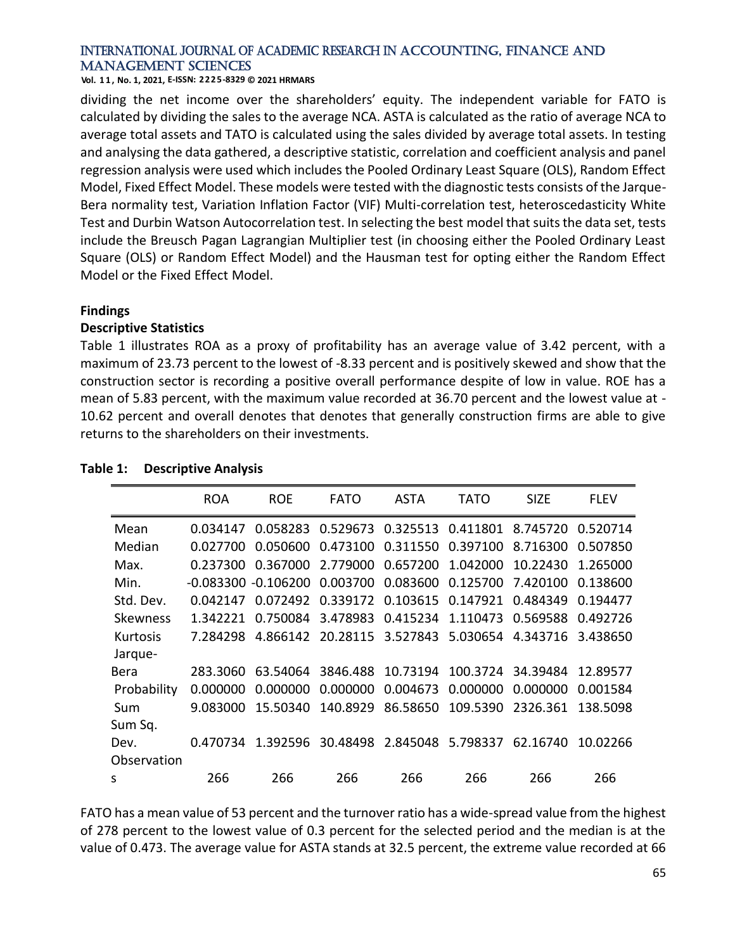**Vol. 1 1 , No. 1, 2021, E-ISSN: 2225-8329 © 2021 HRMARS**

dividing the net income over the shareholders' equity. The independent variable for FATO is calculated by dividing the sales to the average NCA. ASTA is calculated as the ratio of average NCA to average total assets and TATO is calculated using the sales divided by average total assets. In testing and analysing the data gathered, a descriptive statistic, correlation and coefficient analysis and panel regression analysis were used which includes the Pooled Ordinary Least Square (OLS), Random Effect Model, Fixed Effect Model. These models were tested with the diagnostic tests consists of the Jarque-Bera normality test, Variation Inflation Factor (VIF) Multi-correlation test, heteroscedasticity White Test and Durbin Watson Autocorrelation test. In selecting the best model that suits the data set, tests include the Breusch Pagan Lagrangian Multiplier test (in choosing either the Pooled Ordinary Least Square (OLS) or Random Effect Model) and the Hausman test for opting either the Random Effect Model or the Fixed Effect Model.

# **Findings**

#### **Descriptive Statistics**

Table 1 illustrates ROA as a proxy of profitability has an average value of 3.42 percent, with a maximum of 23.73 percent to the lowest of -8.33 percent and is positively skewed and show that the construction sector is recording a positive overall performance despite of low in value. ROE has a mean of 5.83 percent, with the maximum value recorded at 36.70 percent and the lowest value at - 10.62 percent and overall denotes that denotes that generally construction firms are able to give returns to the shareholders on their investments.

|                 | <b>ROA</b>            | <b>ROE</b> | <b>FATO</b> | <b>ASTA</b>                | TATO     | <b>SIZE</b> | <b>FLEV</b> |
|-----------------|-----------------------|------------|-------------|----------------------------|----------|-------------|-------------|
| Mean            | 0.034147              | 0.058283   |             | 0.529673 0.325513          | 0.411801 | 8.745720    | 0.520714    |
| Median          | 0.027700              | 0.050600   | 0.473100    | 0.311550                   | 0.397100 | 8.716300    | 0.507850    |
| Max.            | 0.237300              | 0.367000   | 2.779000    | 0.657200                   | 1.042000 | 10.22430    | 1.265000    |
| Min.            | $-0.083300 -0.106200$ |            | 0.003700    | 0.083600                   | 0.125700 | 7.420100    | 0.138600    |
| Std. Dev.       | 0.042147              | 0.072492   | 0.339172    | 0.103615                   | 0.147921 | 0.484349    | 0.194477    |
| <b>Skewness</b> | 1.342221              | 0.750084   | 3.478983    | 0.415234                   | 1.110473 | 0.569588    | 0.492726    |
| <b>Kurtosis</b> | 7.284298              | 4.866142   |             | 20.28115 3.527843 5.030654 |          | 4.343716    | 3.438650    |
| Jarque-         |                       |            |             |                            |          |             |             |
| Bera            | 283.3060              | 63.54064   | 3846.488    | 10.73194                   | 100.3724 | 34.39484    | 12.89577    |
| Probability     | 0.000000              | 0.000000   | 0.000000    | 0.004673                   | 0.000000 | 0.000000    | 0.001584    |
| Sum             | 9.083000              | 15.50340   | 140.8929    | 86.58650                   | 109.5390 | 2326.361    | 138.5098    |
| Sum Sq.         |                       |            |             |                            |          |             |             |
| Dev.            | 0.470734              | 1.392596   | 30.48498    | 2.845048 5.798337          |          | 62.16740    | 10.02266    |
| Observation     |                       |            |             |                            |          |             |             |
| S               | 266                   | 266        | 266         | 266                        | 266      | 266         | 266         |

# **Table 1: Descriptive Analysis**

FATO has a mean value of 53 percent and the turnover ratio has a wide-spread value from the highest of 278 percent to the lowest value of 0.3 percent for the selected period and the median is at the value of 0.473. The average value for ASTA stands at 32.5 percent, the extreme value recorded at 66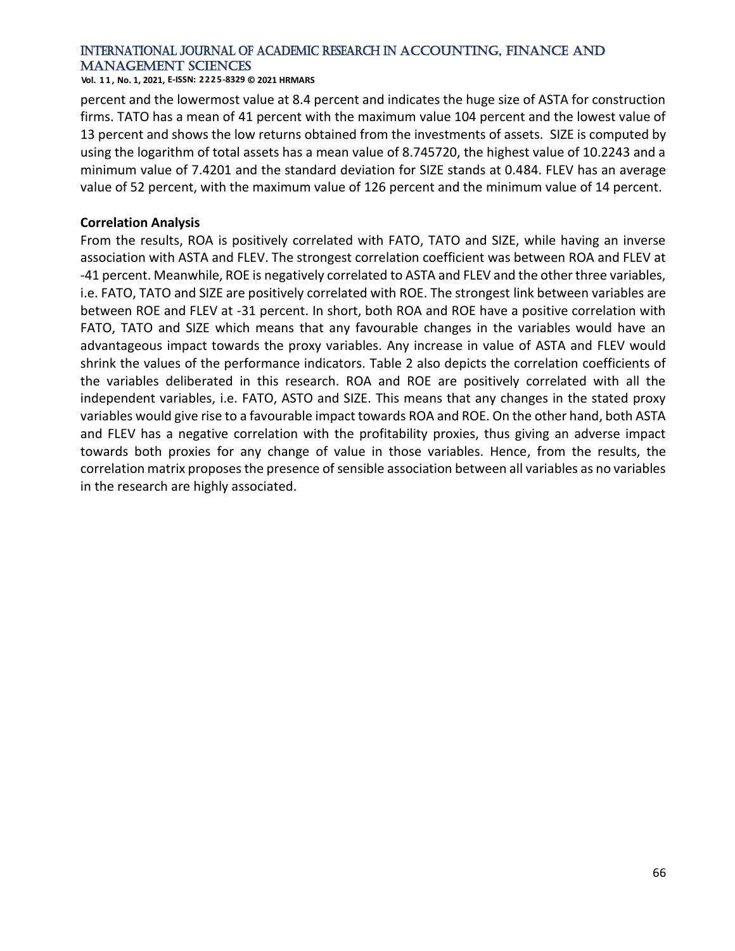**Vol. 1 1 , No. 1, 2021, E-ISSN: 2225-8329 © 2021 HRMARS**

percent and the lowermost value at 8.4 percent and indicates the huge size of ASTA for construction firms. TATO has a mean of 41 percent with the maximum value 104 percent and the lowest value of 13 percent and shows the low returns obtained from the investments of assets. SIZE is computed by using the logarithm of total assets has a mean value of 8.745720, the highest value of 10.2243 and a minimum value of 7.4201 and the standard deviation for SIZE stands at 0.484. FLEV has an average value of 52 percent, with the maximum value of 126 percent and the minimum value of 14 percent.

#### **Correlation Analysis**

From the results, ROA is positively correlated with FATO, TATO and SIZE, while having an inverse association with ASTA and FLEV. The strongest correlation coefficient was between ROA and FLEV at -41 percent. Meanwhile, ROE is negatively correlated to ASTA and FLEV and the other three variables, i.e. FATO, TATO and SIZE are positively correlated with ROE. The strongest link between variables are between ROE and FLEV at -31 percent. In short, both ROA and ROE have a positive correlation with FATO, TATO and SIZE which means that any favourable changes in the variables would have an advantageous impact towards the proxy variables. Any increase in value of ASTA and FLEV would shrink the values of the performance indicators. Table 2 also depicts the correlation coefficients of the variables deliberated in this research. ROA and ROE are positively correlated with all the independent variables, i.e. FATO, ASTO and SIZE. This means that any changes in the stated proxy variables would give rise to a favourable impact towards ROA and ROE. On the other hand, both ASTA and FLEV has a negative correlation with the profitability proxies, thus giving an adverse impact towards both proxies for any change of value in those variables. Hence, from the results, the correlation matrix proposes the presence of sensible association between all variables as no variables in the research are highly associated.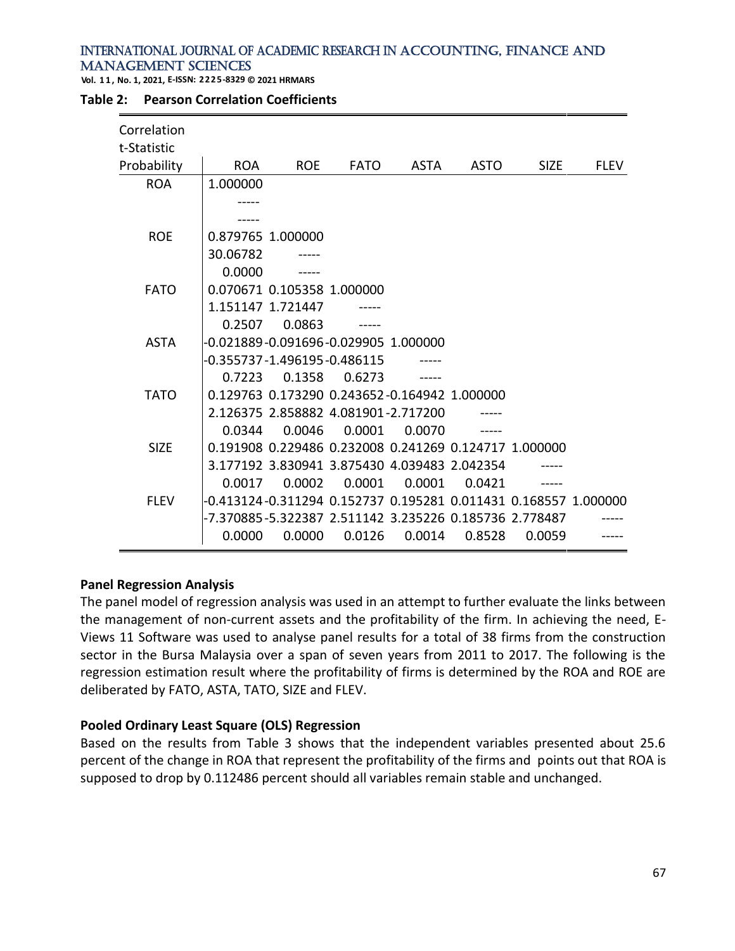**Vol. 1 1 , No. 1, 2021, E-ISSN: 2225-8329 © 2021 HRMARS**

| Correlation<br>t-Statistic |                                      |                                     |             |                                                                           |             |             |             |
|----------------------------|--------------------------------------|-------------------------------------|-------------|---------------------------------------------------------------------------|-------------|-------------|-------------|
| Probability                | <b>ROA</b>                           | <b>ROE</b>                          | <b>FATO</b> | <b>ASTA</b>                                                               | <b>ASTO</b> | <b>SIZE</b> | <b>FLEV</b> |
| <b>ROA</b>                 | 1.000000                             |                                     |             |                                                                           |             |             |             |
|                            |                                      |                                     |             |                                                                           |             |             |             |
|                            |                                      |                                     |             |                                                                           |             |             |             |
| <b>ROE</b>                 |                                      | 0.879765 1.000000                   |             |                                                                           |             |             |             |
|                            | 30.06782                             |                                     |             |                                                                           |             |             |             |
|                            | 0.0000                               |                                     |             |                                                                           |             |             |             |
| <b>FATO</b>                |                                      | 0.070671 0.105358 1.000000          |             |                                                                           |             |             |             |
|                            |                                      | 1.151147 1.721447                   |             |                                                                           |             |             |             |
|                            | 0.2507                               | 0.0863                              |             |                                                                           |             |             |             |
| <b>ASTA</b>                | -0.021889-0.091696-0.029905 1.000000 |                                     |             |                                                                           |             |             |             |
|                            |                                      | -0.355737-1.496195-0.486115         |             |                                                                           |             |             |             |
|                            | 0.7223                               | 0.1358                              | 0.6273      |                                                                           |             |             |             |
| <b>TATO</b>                |                                      |                                     |             | 0.129763 0.173290 0.243652-0.164942 1.000000                              |             |             |             |
|                            |                                      | 2.126375 2.858882 4.081901-2.717200 |             |                                                                           |             |             |             |
|                            | 0.0344                               | 0.0046                              | 0.0001      | 0.0070                                                                    |             |             |             |
| <b>SIZE</b>                |                                      |                                     |             | 0.191908 0.229486 0.232008 0.241269 0.124717 1.000000                     |             |             |             |
|                            |                                      |                                     |             | 3.177192 3.830941 3.875430 4.039483 2.042354                              |             |             |             |
|                            | 0.0017                               | 0.0002                              | 0.0001      | 0.0001                                                                    | 0.0421      |             |             |
| <b>FLEV</b>                |                                      |                                     |             | -0.413124-0.311294   0.152737   0.195281   0.011431   0.168557   1.000000 |             |             |             |
|                            |                                      |                                     |             |                                                                           |             |             |             |
|                            | 0.0000                               | 0.0000                              | 0.0126      | 0.0014                                                                    | 0.8528      | 0.0059      |             |

#### **Table 2: Pearson Correlation Coefficients**

# **Panel Regression Analysis**

The panel model of regression analysis was used in an attempt to further evaluate the links between the management of non-current assets and the profitability of the firm. In achieving the need, E-Views 11 Software was used to analyse panel results for a total of 38 firms from the construction sector in the Bursa Malaysia over a span of seven years from 2011 to 2017. The following is the regression estimation result where the profitability of firms is determined by the ROA and ROE are deliberated by FATO, ASTA, TATO, SIZE and FLEV.

# **Pooled Ordinary Least Square (OLS) Regression**

Based on the results from Table 3 shows that the independent variables presented about 25.6 percent of the change in ROA that represent the profitability of the firms and points out that ROA is supposed to drop by 0.112486 percent should all variables remain stable and unchanged.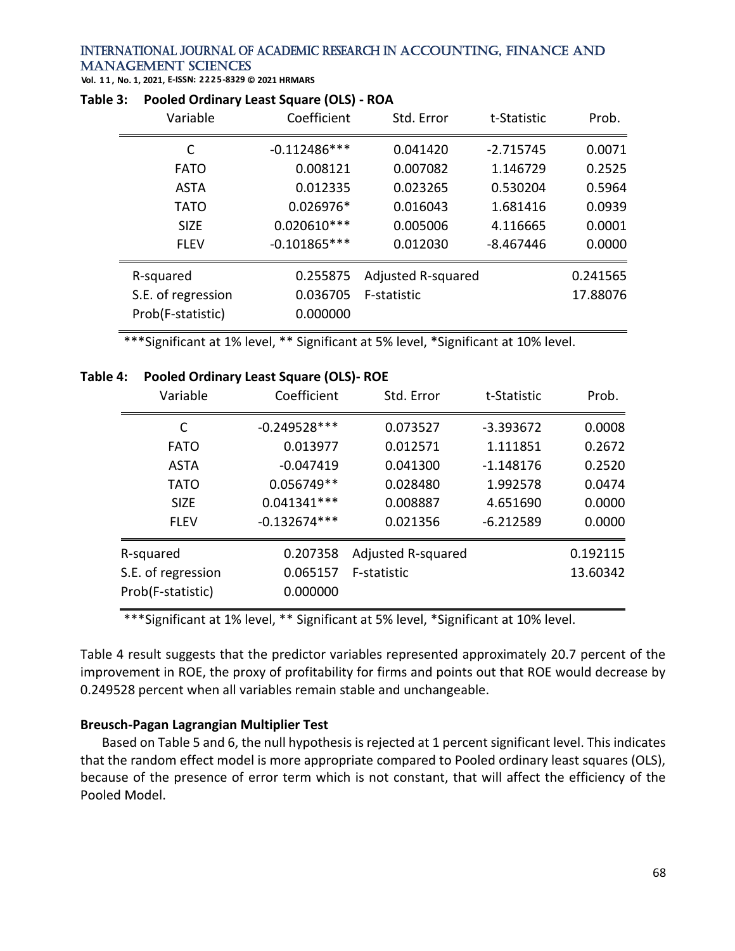**Vol. 1 1 , No. 1, 2021, E-ISSN: 2225-8329 © 2021 HRMARS**

| Variable                                | Coefficient          | Std. Error         | t-Statistic | Prob.    |
|-----------------------------------------|----------------------|--------------------|-------------|----------|
| C                                       | $-0.112486***$       | 0.041420           | $-2.715745$ | 0.0071   |
| <b>FATO</b>                             | 0.008121             | 0.007082           | 1.146729    | 0.2525   |
| <b>ASTA</b>                             | 0.012335             | 0.023265           | 0.530204    | 0.5964   |
| <b>TATO</b>                             | 0.026976*            | 0.016043           | 1.681416    | 0.0939   |
| <b>SIZE</b>                             | $0.020610***$        | 0.005006           | 4.116665    | 0.0001   |
| <b>FLEV</b>                             | $-0.101865***$       | 0.012030           | $-8.467446$ | 0.0000   |
| R-squared                               | 0.255875             | Adjusted R-squared |             | 0.241565 |
| S.E. of regression<br>Prob(F-statistic) | 0.036705<br>0.000000 | F-statistic        |             | 17.88076 |
|                                         |                      |                    |             |          |

#### **Table 3: Pooled Ordinary Least Square (OLS) - ROA**

\*\*\*Significant at 1% level, \*\* Significant at 5% level, \*Significant at 10% level.

#### **Table 4: Pooled Ordinary Least Square (OLS)- ROE**

| Variable                                | Coefficient          | Std. Error         | t-Statistic | Prob.    |
|-----------------------------------------|----------------------|--------------------|-------------|----------|
| C                                       | $-0.249528***$       | 0.073527           | $-3.393672$ | 0.0008   |
| <b>FATO</b>                             | 0.013977             | 0.012571           | 1.111851    | 0.2672   |
| <b>ASTA</b>                             | $-0.047419$          | 0.041300           | $-1.148176$ | 0.2520   |
| <b>TATO</b>                             | 0.056749**           | 0.028480           | 1.992578    | 0.0474   |
| <b>SIZE</b>                             | $0.041341***$        | 0.008887           | 4.651690    | 0.0000   |
| <b>FLEV</b>                             | $-0.132674***$       | 0.021356           | $-6.212589$ | 0.0000   |
| R-squared                               | 0.207358             | Adjusted R-squared |             | 0.192115 |
| S.E. of regression<br>Prob(F-statistic) | 0.065157<br>0.000000 | F-statistic        |             | 13.60342 |

\*\*\*Significant at 1% level, \*\* Significant at 5% level, \*Significant at 10% level.

Table 4 result suggests that the predictor variables represented approximately 20.7 percent of the improvement in ROE, the proxy of profitability for firms and points out that ROE would decrease by 0.249528 percent when all variables remain stable and unchangeable.

# **Breusch-Pagan Lagrangian Multiplier Test**

Based on Table 5 and 6, the null hypothesis is rejected at 1 percent significant level. This indicates that the random effect model is more appropriate compared to Pooled ordinary least squares (OLS), because of the presence of error term which is not constant, that will affect the efficiency of the Pooled Model.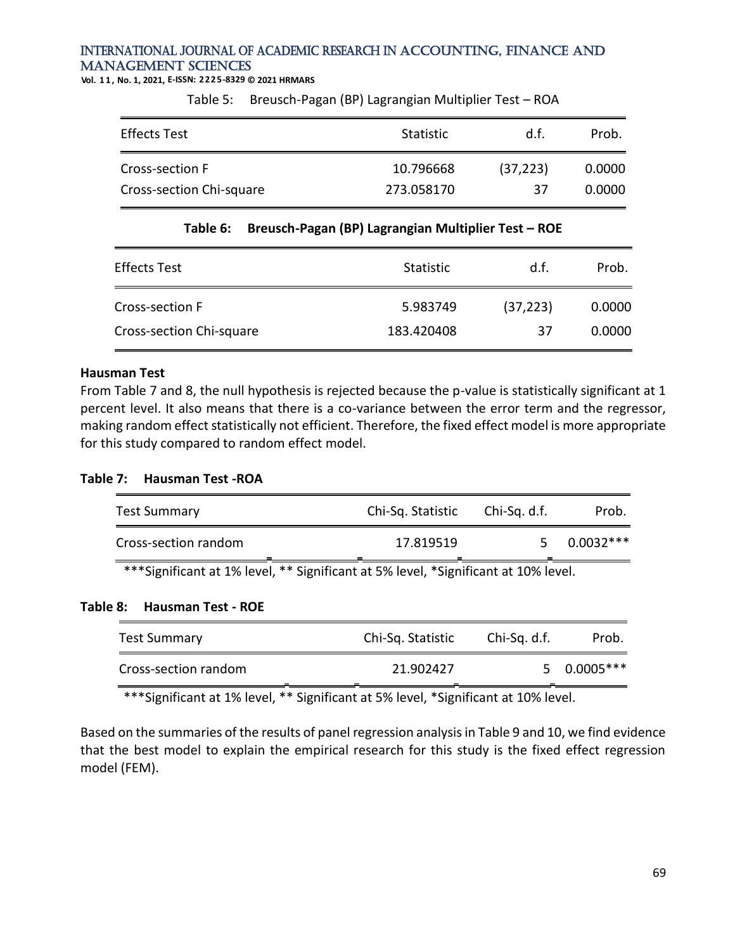**Vol. 1 1 , No. 1, 2021, E-ISSN: 2225-8329 © 2021 HRMARS**

Table 5: Breusch-Pagan (BP) Lagrangian Multiplier Test – ROA

| <b>Effects Test</b>      | <b>Statistic</b> | d.f.      | Prob.  |
|--------------------------|------------------|-----------|--------|
| Cross-section F          | 10.796668        | (37, 223) | 0.0000 |
| Cross-section Chi-square | 273.058170       | 37        | 0.0000 |

#### **Table 6: Breusch-Pagan (BP) Lagrangian Multiplier Test – ROE**

| <b>Effects Test</b>      | <b>Statistic</b> | d.f.      | Prob.  |
|--------------------------|------------------|-----------|--------|
| Cross-section F          | 5.983749         | (37, 223) | 0.0000 |
| Cross-section Chi-square | 183.420408       | 37        | 0.0000 |

#### **Hausman Test**

From Table 7 and 8, the null hypothesis is rejected because the p-value is statistically significant at 1 percent level. It also means that there is a co-variance between the error term and the regressor, making random effect statistically not efficient. Therefore, the fixed effect model is more appropriate for this study compared to random effect model.

#### **Table 7: Hausman Test -ROA**

| <b>Test Summary</b>                                                                | Chi-Sq. Statistic | Chi-Sq. d.f. | Prob.       |  |  |  |
|------------------------------------------------------------------------------------|-------------------|--------------|-------------|--|--|--|
| Cross-section random                                                               | 17.819519         |              | $0.0032***$ |  |  |  |
| ***Significant at 1% level, ** Significant at 5% level, *Significant at 10% level. |                   |              |             |  |  |  |

#### **Table 8: Hausman Test - ROE**

| <b>Test Summary</b>  | Chi-Sq. Statistic | Chi-Sq. d.f. | Prob.        |
|----------------------|-------------------|--------------|--------------|
| Cross-section random | 21.902427         |              | $50.0005***$ |

\*\*\*Significant at 1% level, \*\* Significant at 5% level, \*Significant at 10% level.

Based on the summaries of the results of panel regression analysis in Table 9 and 10, we find evidence that the best model to explain the empirical research for this study is the fixed effect regression model (FEM).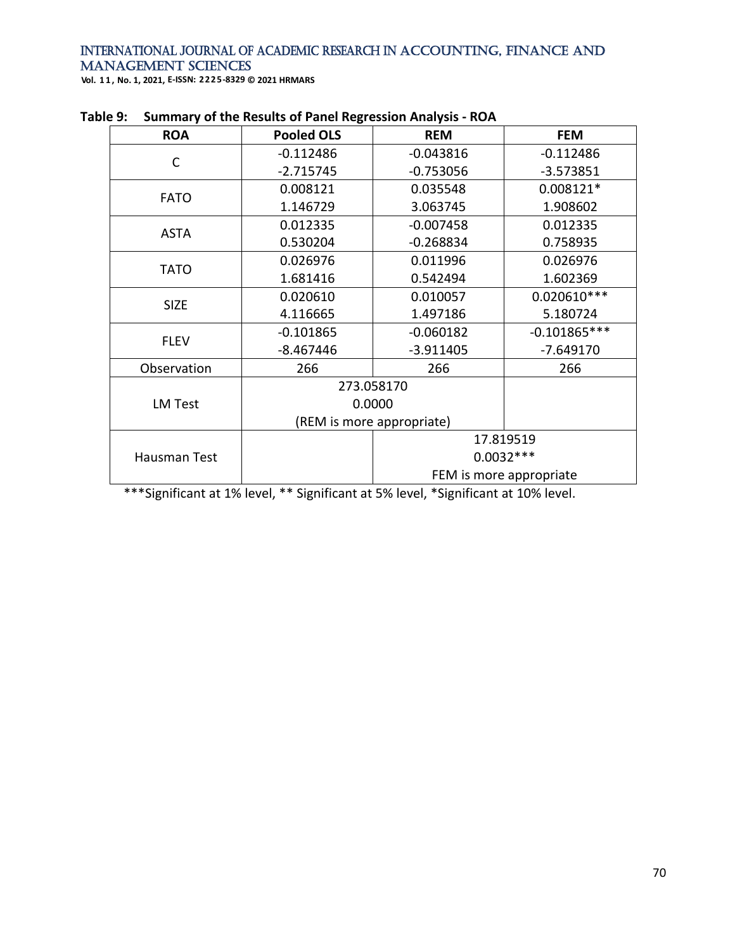**Vol. 1 1 , No. 1, 2021, E-ISSN: 2225-8329 © 2021 HRMARS**

| <b>ROA</b>     | <b>Pooled OLS</b> | <b>REM</b>                | <b>FEM</b>              |
|----------------|-------------------|---------------------------|-------------------------|
|                | $-0.112486$       | $-0.043816$               | $-0.112486$             |
| С              | $-2.715745$       | $-0.753056$               | $-3.573851$             |
| <b>FATO</b>    | 0.008121          | 0.035548                  | 0.008121*               |
|                | 1.146729          | 3.063745                  | 1.908602                |
| <b>ASTA</b>    | 0.012335          | $-0.007458$               | 0.012335                |
|                | 0.530204          | $-0.268834$               | 0.758935                |
|                | 0.026976          | 0.011996                  | 0.026976                |
| TATO           | 1.681416          | 0.542494                  | 1.602369                |
| <b>SIZE</b>    | 0.020610          | 0.010057                  | $0.020610***$           |
|                | 4.116665          | 1.497186                  | 5.180724                |
| <b>FLEV</b>    | $-0.101865$       | $-0.060182$               | $-0.101865***$          |
|                | $-8.467446$       | $-3.911405$               | $-7.649170$             |
| Observation    | 266               | 266                       | 266                     |
|                |                   | 273.058170                |                         |
| <b>LM Test</b> |                   | 0.0000                    |                         |
|                |                   | (REM is more appropriate) |                         |
|                |                   | 17.819519                 |                         |
| Hausman Test   |                   |                           | $0.0032***$             |
|                |                   |                           | FEM is more appropriate |

|  |  |  | Table 9: Summary of the Results of Panel Regression Analysis - ROA |
|--|--|--|--------------------------------------------------------------------|
|--|--|--|--------------------------------------------------------------------|

\*\*\*Significant at 1% level, \*\* Significant at 5% level, \*Significant at 10% level.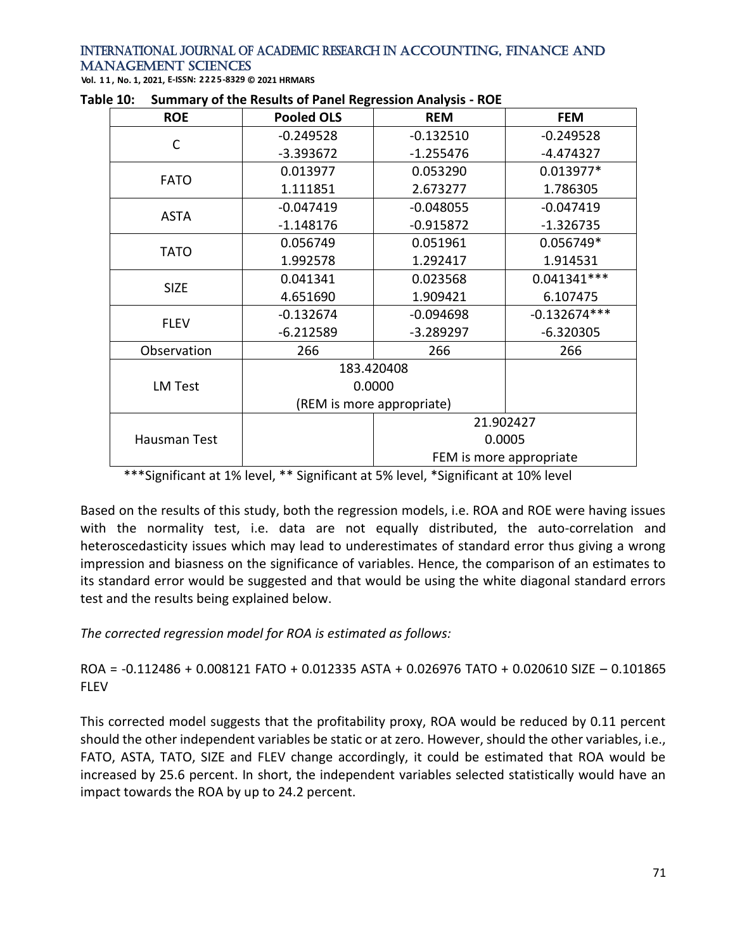**Vol. 1 1 , No. 1, 2021, E-ISSN: 2225-8329 © 2021 HRMARS**

| <b>ROE</b>     | <b>Pooled OLS</b>         | <b>REM</b>  | <b>FEM</b>              |
|----------------|---------------------------|-------------|-------------------------|
| C              | $-0.249528$               | $-0.132510$ | $-0.249528$             |
|                | $-3.393672$               | $-1.255476$ | $-4.474327$             |
| <b>FATO</b>    | 0.013977                  | 0.053290    | 0.013977*               |
|                | 1.111851                  | 2.673277    | 1.786305                |
| <b>ASTA</b>    | $-0.047419$               | $-0.048055$ | $-0.047419$             |
|                | $-1.148176$               | $-0.915872$ | $-1.326735$             |
| <b>TATO</b>    | 0.056749                  | 0.051961    | 0.056749*               |
|                | 1.992578                  | 1.292417    | 1.914531                |
| <b>SIZE</b>    | 0.041341                  | 0.023568    | $0.041341***$           |
|                | 4.651690                  | 1.909421    | 6.107475                |
| <b>FLEV</b>    | $-0.132674$               | $-0.094698$ | $-0.132674***$          |
|                | $-6.212589$               | $-3.289297$ | $-6.320305$             |
| Observation    | 266                       | 266         | 266                     |
|                |                           | 183.420408  |                         |
| <b>LM Test</b> | 0.0000                    |             |                         |
|                | (REM is more appropriate) |             |                         |
|                |                           | 21.902427   |                         |
| Hausman Test   |                           |             | 0.0005                  |
|                |                           |             | FEM is more appropriate |

**Table 10: Summary of the Results of Panel Regression Analysis - ROE**

\*\*\*Significant at 1% level, \*\* Significant at 5% level, \*Significant at 10% level

Based on the results of this study, both the regression models, i.e. ROA and ROE were having issues with the normality test, i.e. data are not equally distributed, the auto-correlation and heteroscedasticity issues which may lead to underestimates of standard error thus giving a wrong impression and biasness on the significance of variables. Hence, the comparison of an estimates to its standard error would be suggested and that would be using the white diagonal standard errors test and the results being explained below.

*The corrected regression model for ROA is estimated as follows:*

ROA = -0.112486 + 0.008121 FATO + 0.012335 ASTA + 0.026976 TATO + 0.020610 SIZE – 0.101865 FLEV

This corrected model suggests that the profitability proxy, ROA would be reduced by 0.11 percent should the other independent variables be static or at zero. However, should the other variables, i.e., FATO, ASTA, TATO, SIZE and FLEV change accordingly, it could be estimated that ROA would be increased by 25.6 percent. In short, the independent variables selected statistically would have an impact towards the ROA by up to 24.2 percent.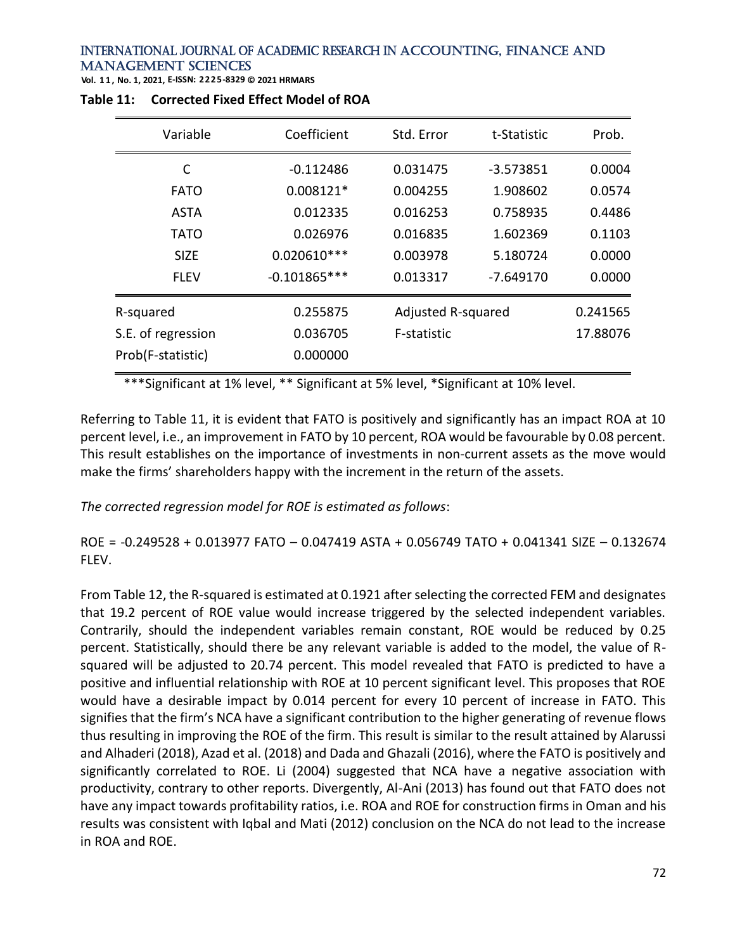**Vol. 1 1 , No. 1, 2021, E-ISSN: 2225-8329 © 2021 HRMARS**

| Variable           | Coefficient    | Std. Error         | t-Statistic | Prob.    |
|--------------------|----------------|--------------------|-------------|----------|
| C                  | $-0.112486$    | 0.031475           | $-3.573851$ | 0.0004   |
| <b>FATO</b>        | 0.008121*      | 0.004255           | 1.908602    | 0.0574   |
| ASTA               | 0.012335       | 0.016253           | 0.758935    | 0.4486   |
| TATO               | 0.026976       | 0.016835           | 1.602369    | 0.1103   |
| <b>SIZE</b>        | $0.020610***$  | 0.003978           | 5.180724    | 0.0000   |
| <b>FLEV</b>        | $-0.101865***$ | 0.013317           | -7.649170   | 0.0000   |
| R-squared          | 0.255875       | Adjusted R-squared |             | 0.241565 |
| S.E. of regression | 0.036705       | F-statistic        |             | 17.88076 |
| Prob(F-statistic)  | 0.000000       |                    |             |          |

#### **Table 11: Corrected Fixed Effect Model of ROA**

\*\*\*Significant at 1% level, \*\* Significant at 5% level, \*Significant at 10% level.

Referring to Table 11, it is evident that FATO is positively and significantly has an impact ROA at 10 percent level, i.e., an improvement in FATO by 10 percent, ROA would be favourable by 0.08 percent. This result establishes on the importance of investments in non-current assets as the move would make the firms' shareholders happy with the increment in the return of the assets.

# *The corrected regression model for ROE is estimated as follows*:

ROE = -0.249528 + 0.013977 FATO – 0.047419 ASTA + 0.056749 TATO + 0.041341 SIZE – 0.132674 FLEV.

From Table 12, the R-squared is estimated at 0.1921 after selecting the corrected FEM and designates that 19.2 percent of ROE value would increase triggered by the selected independent variables. Contrarily, should the independent variables remain constant, ROE would be reduced by 0.25 percent. Statistically, should there be any relevant variable is added to the model, the value of Rsquared will be adjusted to 20.74 percent. This model revealed that FATO is predicted to have a positive and influential relationship with ROE at 10 percent significant level. This proposes that ROE would have a desirable impact by 0.014 percent for every 10 percent of increase in FATO. This signifies that the firm's NCA have a significant contribution to the higher generating of revenue flows thus resulting in improving the ROE of the firm. This result is similar to the result attained by Alarussi and Alhaderi (2018), Azad et al. (2018) and Dada and Ghazali (2016), where the FATO is positively and significantly correlated to ROE. Li (2004) suggested that NCA have a negative association with productivity, contrary to other reports. Divergently, Al-Ani (2013) has found out that FATO does not have any impact towards profitability ratios, i.e. ROA and ROE for construction firms in Oman and his results was consistent with Iqbal and Mati (2012) conclusion on the NCA do not lead to the increase in ROA and ROE.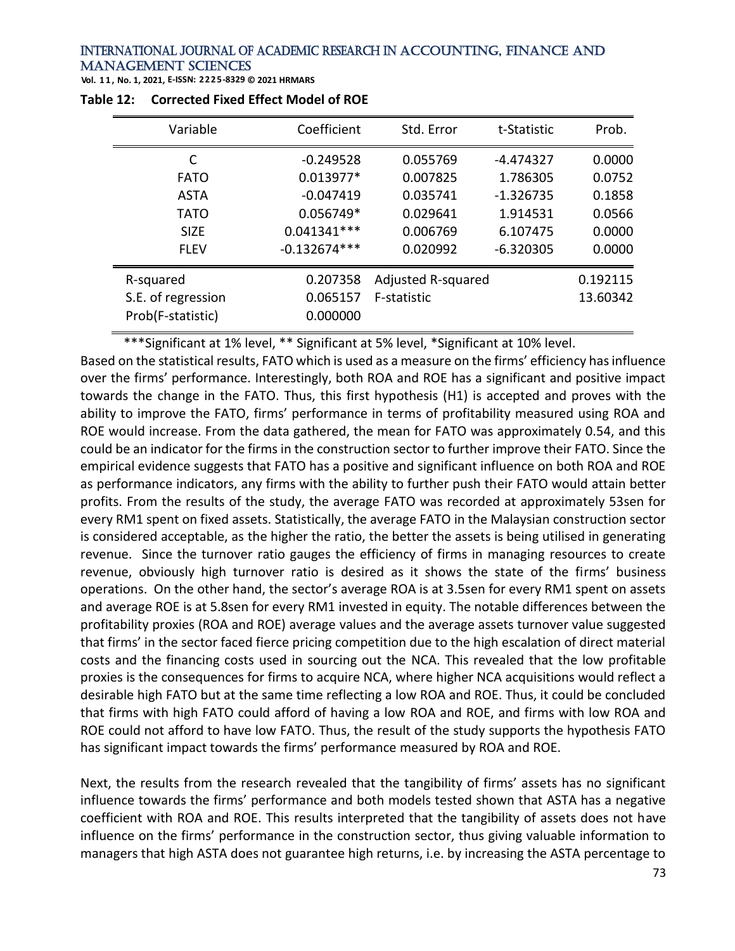**Vol. 1 1 , No. 1, 2021, E-ISSN: 2225-8329 © 2021 HRMARS**

| Variable           | Coefficient    | Std. Error         | t-Statistic | Prob.    |
|--------------------|----------------|--------------------|-------------|----------|
| C                  | $-0.249528$    | 0.055769           | -4.474327   | 0.0000   |
| <b>FATO</b>        | $0.013977*$    | 0.007825           | 1.786305    | 0.0752   |
| <b>ASTA</b>        | $-0.047419$    | 0.035741           | $-1.326735$ | 0.1858   |
| <b>TATO</b>        | 0.056749*      | 0.029641           | 1.914531    | 0.0566   |
| <b>SIZE</b>        | $0.041341***$  | 0.006769           | 6.107475    | 0.0000   |
| <b>FLEV</b>        | $-0.132674***$ | 0.020992           | $-6.320305$ | 0.0000   |
| R-squared          | 0.207358       | Adjusted R-squared |             | 0.192115 |
| S.E. of regression | 0.065157       | F-statistic        |             | 13.60342 |
| Prob(F-statistic)  | 0.000000       |                    |             |          |
|                    |                |                    |             |          |

| Table 12: Corrected Fixed Effect Model of ROE |
|-----------------------------------------------|
|                                               |

\*\*\*Significant at 1% level, \*\* Significant at 5% level, \*Significant at 10% level.

Based on the statistical results, FATO which is used as a measure on the firms' efficiency has influence over the firms' performance. Interestingly, both ROA and ROE has a significant and positive impact towards the change in the FATO. Thus, this first hypothesis (H1) is accepted and proves with the ability to improve the FATO, firms' performance in terms of profitability measured using ROA and ROE would increase. From the data gathered, the mean for FATO was approximately 0.54, and this could be an indicator for the firms in the construction sector to further improve their FATO. Since the empirical evidence suggests that FATO has a positive and significant influence on both ROA and ROE as performance indicators, any firms with the ability to further push their FATO would attain better profits. From the results of the study, the average FATO was recorded at approximately 53sen for every RM1 spent on fixed assets. Statistically, the average FATO in the Malaysian construction sector is considered acceptable, as the higher the ratio, the better the assets is being utilised in generating revenue. Since the turnover ratio gauges the efficiency of firms in managing resources to create revenue, obviously high turnover ratio is desired as it shows the state of the firms' business operations. On the other hand, the sector's average ROA is at 3.5sen for every RM1 spent on assets and average ROE is at 5.8sen for every RM1 invested in equity. The notable differences between the profitability proxies (ROA and ROE) average values and the average assets turnover value suggested that firms' in the sector faced fierce pricing competition due to the high escalation of direct material costs and the financing costs used in sourcing out the NCA. This revealed that the low profitable proxies is the consequences for firms to acquire NCA, where higher NCA acquisitions would reflect a desirable high FATO but at the same time reflecting a low ROA and ROE. Thus, it could be concluded that firms with high FATO could afford of having a low ROA and ROE, and firms with low ROA and ROE could not afford to have low FATO. Thus, the result of the study supports the hypothesis FATO has significant impact towards the firms' performance measured by ROA and ROE.

Next, the results from the research revealed that the tangibility of firms' assets has no significant influence towards the firms' performance and both models tested shown that ASTA has a negative coefficient with ROA and ROE. This results interpreted that the tangibility of assets does not have influence on the firms' performance in the construction sector, thus giving valuable information to managers that high ASTA does not guarantee high returns, i.e. by increasing the ASTA percentage to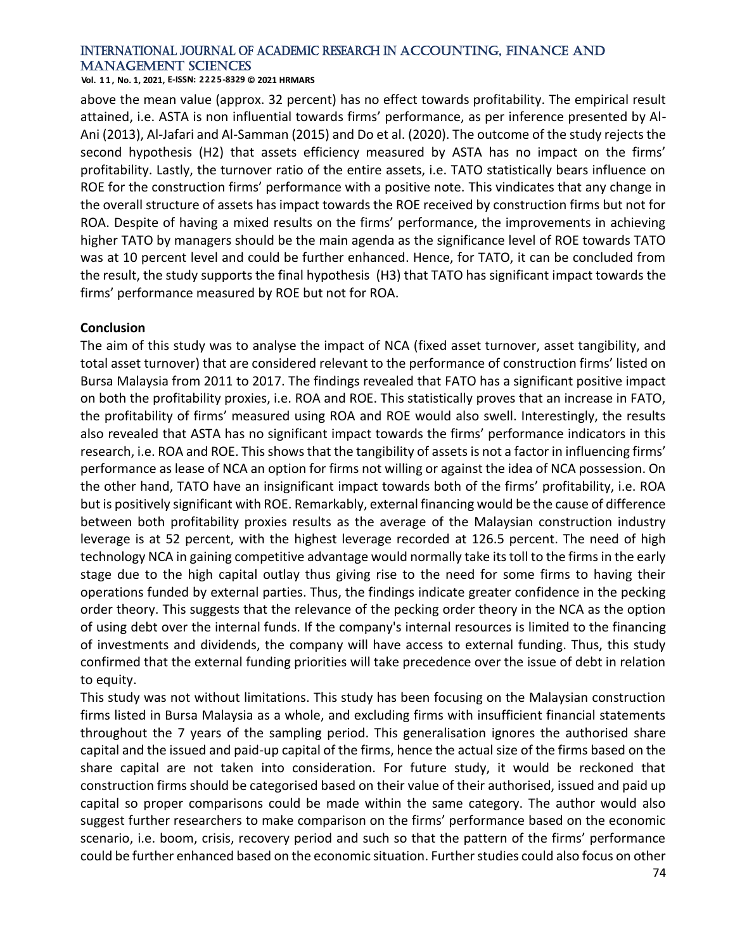**Vol. 1 1 , No. 1, 2021, E-ISSN: 2225-8329 © 2021 HRMARS**

above the mean value (approx. 32 percent) has no effect towards profitability. The empirical result attained, i.e. ASTA is non influential towards firms' performance, as per inference presented by Al-Ani (2013), Al-Jafari and Al-Samman (2015) and Do et al. (2020). The outcome of the study rejects the second hypothesis (H2) that assets efficiency measured by ASTA has no impact on the firms' profitability. Lastly, the turnover ratio of the entire assets, i.e. TATO statistically bears influence on ROE for the construction firms' performance with a positive note. This vindicates that any change in the overall structure of assets has impact towards the ROE received by construction firms but not for ROA. Despite of having a mixed results on the firms' performance, the improvements in achieving higher TATO by managers should be the main agenda as the significance level of ROE towards TATO was at 10 percent level and could be further enhanced. Hence, for TATO, it can be concluded from the result, the study supports the final hypothesis (H3) that TATO has significant impact towards the firms' performance measured by ROE but not for ROA.

#### **Conclusion**

The aim of this study was to analyse the impact of NCA (fixed asset turnover, asset tangibility, and total asset turnover) that are considered relevant to the performance of construction firms' listed on Bursa Malaysia from 2011 to 2017. The findings revealed that FATO has a significant positive impact on both the profitability proxies, i.e. ROA and ROE. This statistically proves that an increase in FATO, the profitability of firms' measured using ROA and ROE would also swell. Interestingly, the results also revealed that ASTA has no significant impact towards the firms' performance indicators in this research, i.e. ROA and ROE. This shows that the tangibility of assets is not a factor in influencing firms' performance as lease of NCA an option for firms not willing or against the idea of NCA possession. On the other hand, TATO have an insignificant impact towards both of the firms' profitability, i.e. ROA but is positively significant with ROE. Remarkably, external financing would be the cause of difference between both profitability proxies results as the average of the Malaysian construction industry leverage is at 52 percent, with the highest leverage recorded at 126.5 percent. The need of high technology NCA in gaining competitive advantage would normally take its toll to the firms in the early stage due to the high capital outlay thus giving rise to the need for some firms to having their operations funded by external parties. Thus, the findings indicate greater confidence in the pecking order theory. This suggests that the relevance of the pecking order theory in the NCA as the option of using debt over the internal funds. If the company's internal resources is limited to the financing of investments and dividends, the company will have access to external funding. Thus, this study confirmed that the external funding priorities will take precedence over the issue of debt in relation to equity.

This study was not without limitations. This study has been focusing on the Malaysian construction firms listed in Bursa Malaysia as a whole, and excluding firms with insufficient financial statements throughout the 7 years of the sampling period. This generalisation ignores the authorised share capital and the issued and paid-up capital of the firms, hence the actual size of the firms based on the share capital are not taken into consideration. For future study, it would be reckoned that construction firms should be categorised based on their value of their authorised, issued and paid up capital so proper comparisons could be made within the same category. The author would also suggest further researchers to make comparison on the firms' performance based on the economic scenario, i.e. boom, crisis, recovery period and such so that the pattern of the firms' performance could be further enhanced based on the economic situation. Further studies could also focus on other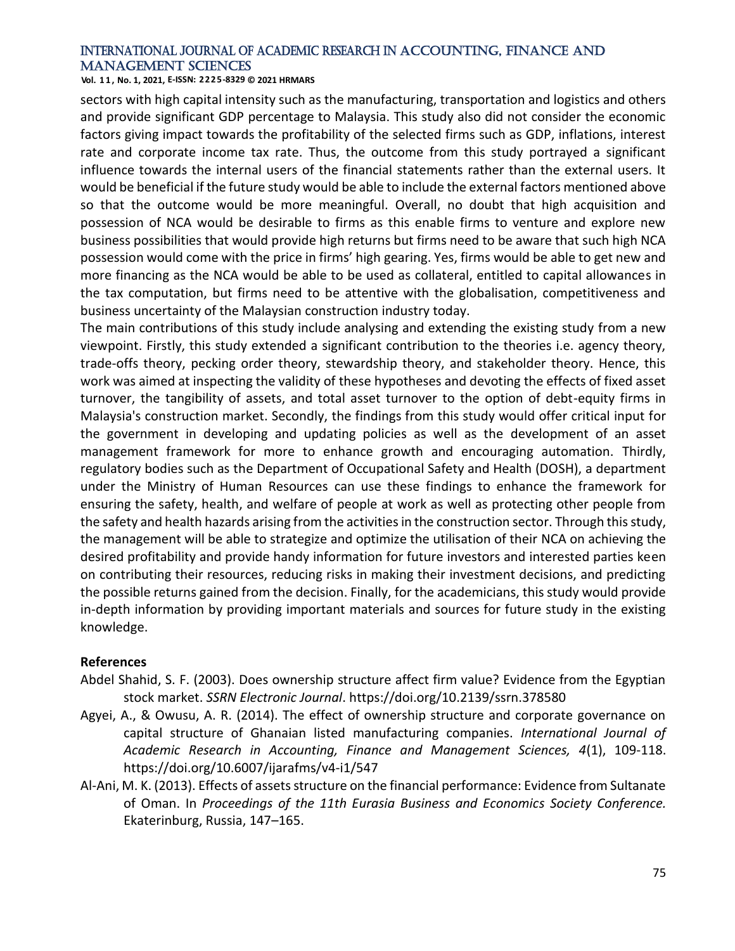**Vol. 1 1 , No. 1, 2021, E-ISSN: 2225-8329 © 2021 HRMARS**

sectors with high capital intensity such as the manufacturing, transportation and logistics and others and provide significant GDP percentage to Malaysia. This study also did not consider the economic factors giving impact towards the profitability of the selected firms such as GDP, inflations, interest rate and corporate income tax rate. Thus, the outcome from this study portrayed a significant influence towards the internal users of the financial statements rather than the external users. It would be beneficial if the future study would be able to include the external factors mentioned above so that the outcome would be more meaningful. Overall, no doubt that high acquisition and possession of NCA would be desirable to firms as this enable firms to venture and explore new business possibilities that would provide high returns but firms need to be aware that such high NCA possession would come with the price in firms' high gearing. Yes, firms would be able to get new and more financing as the NCA would be able to be used as collateral, entitled to capital allowances in the tax computation, but firms need to be attentive with the globalisation, competitiveness and business uncertainty of the Malaysian construction industry today.

The main contributions of this study include analysing and extending the existing study from a new viewpoint. Firstly, this study extended a significant contribution to the theories i.e. agency theory, trade-offs theory, pecking order theory, stewardship theory, and stakeholder theory. Hence, this work was aimed at inspecting the validity of these hypotheses and devoting the effects of fixed asset turnover, the tangibility of assets, and total asset turnover to the option of debt-equity firms in Malaysia's construction market. Secondly, the findings from this study would offer critical input for the government in developing and updating policies as well as the development of an asset management framework for more to enhance growth and encouraging automation. Thirdly, regulatory bodies such as the Department of Occupational Safety and Health (DOSH), a department under the Ministry of Human Resources can use these findings to enhance the framework for ensuring the safety, health, and welfare of people at work as well as protecting other people from the safety and health hazards arising from the activities in the construction sector. Through this study, the management will be able to strategize and optimize the utilisation of their NCA on achieving the desired profitability and provide handy information for future investors and interested parties keen on contributing their resources, reducing risks in making their investment decisions, and predicting the possible returns gained from the decision. Finally, for the academicians, this study would provide in-depth information by providing important materials and sources for future study in the existing knowledge.

# **References**

- Abdel Shahid, S. F. (2003). Does ownership structure affect firm value? Evidence from the Egyptian stock market. *SSRN Electronic Journal*. https://doi.org/10.2139/ssrn.378580
- Agyei, A., & Owusu, A. R. (2014). The effect of ownership structure and corporate governance on capital structure of Ghanaian listed manufacturing companies. *International Journal of Academic Research in Accounting, Finance and Management Sciences, 4*(1), 109-118. https://doi.org/10.6007/ijarafms/v4-i1/547
- Al-Ani, M. K. (2013). Effects of assets structure on the financial performance: Evidence from Sultanate of Oman. In *Proceedings of the 11th Eurasia Business and Economics Society Conference.* Ekaterinburg, Russia, 147–165.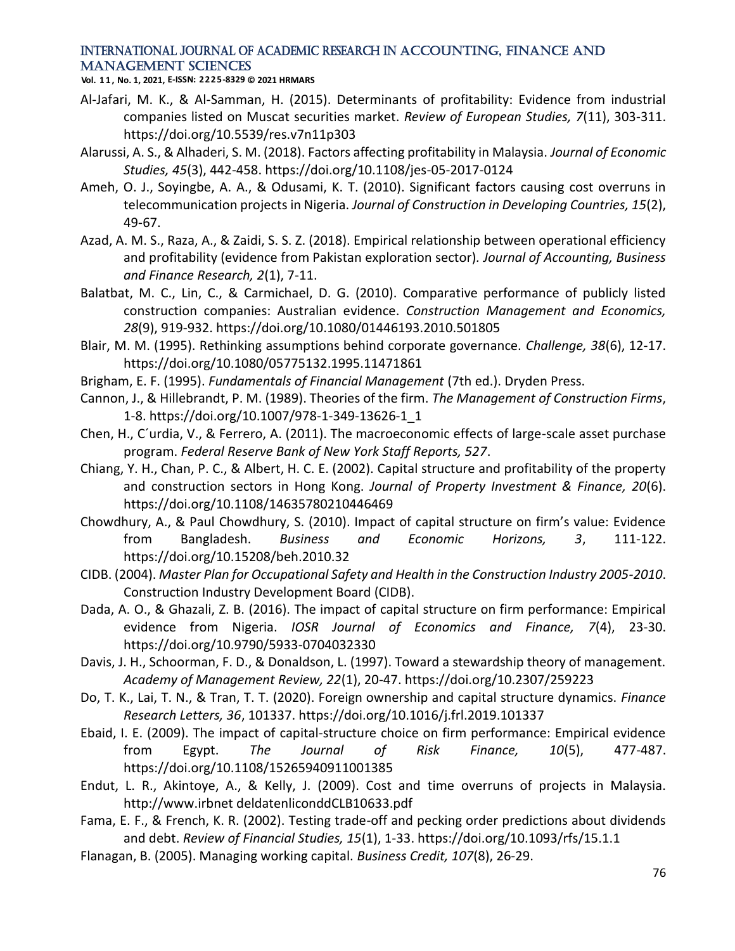**Vol. 1 1 , No. 1, 2021, E-ISSN: 2225-8329 © 2021 HRMARS**

- Al-Jafari, M. K., & Al-Samman, H. (2015). Determinants of profitability: Evidence from industrial companies listed on Muscat securities market. *Review of European Studies, 7*(11), 303-311. https://doi.org/10.5539/res.v7n11p303
- Alarussi, A. S., & Alhaderi, S. M. (2018). Factors affecting profitability in Malaysia. *Journal of Economic Studies, 45*(3), 442-458. https://doi.org/10.1108/jes-05-2017-0124
- Ameh, O. J., Soyingbe, A. A., & Odusami, K. T. (2010). Significant factors causing cost overruns in telecommunication projects in Nigeria. *Journal of Construction in Developing Countries, 15*(2), 49-67.
- Azad, A. M. S., Raza, A., & Zaidi, S. S. Z. (2018). Empirical relationship between operational efficiency and profitability (evidence from Pakistan exploration sector)*. Journal of Accounting, Business and Finance Research, 2*(1), 7-11.
- Balatbat, M. C., Lin, C., & Carmichael, D. G. (2010). Comparative performance of publicly listed construction companies: Australian evidence. *Construction Management and Economics, 28*(9), 919-932. https://doi.org/10.1080/01446193.2010.501805
- Blair, M. M. (1995). Rethinking assumptions behind corporate governance. *Challenge, 38*(6), 12-17. https://doi.org/10.1080/05775132.1995.11471861
- Brigham, E. F. (1995). *Fundamentals of Financial Management* (7th ed.). Dryden Press.
- Cannon, J., & Hillebrandt, P. M. (1989). Theories of the firm. *The Management of Construction Firms*, 1-8. [https://doi.org/10.1007/978-1-349-13626-1\\_1](https://doi.org/10.1007/978-1-349-13626-1_1)
- Chen, H., C´urdia, V., & Ferrero, A. (2011). The macroeconomic effects of large-scale asset purchase program. *Federal Reserve Bank of New York Staff Reports, 527*.
- [Chiang, Y. H.,](https://www.emerald.com/insight/search?q=Chiang%20Yat%20Hung) Chan, P. C., & Albert, H. C. E. (2002). Capital structure and profitability of the property and construction sectors in Hong Kong. *[Journal of Property Investment & Finance,](https://www.emerald.com/insight/publication/issn/1463-578X) 20*(6). <https://doi.org/10.1108/14635780210446469>
- Chowdhury, A., & Paul Chowdhury, S. (2010). Impact of capital structure on firm's value: Evidence from Bangladesh. *Business and Economic Horizons, 3*, 111-122. https://doi.org/10.15208/beh.2010.32
- CIDB. (2004). *Master Plan for Occupational Safety and Health in the Construction Industry 2005-2010*. Construction Industry Development Board (CIDB).
- Dada, A. O., & Ghazali, Z. B. (2016). The impact of capital structure on firm performance: Empirical evidence from Nigeria. *IOSR Journal of Economics and Finance, 7*(4), 23-30. https://doi.org/10.9790/5933-0704032330
- Davis, J. H., Schoorman, F. D., & Donaldson, L. (1997). Toward a stewardship theory of management. *Academy of Management Review, 22*(1), 20-47. https://doi.org/10.2307/259223
- Do, T. K., Lai, T. N., & Tran, T. T. (2020). Foreign ownership and capital structure dynamics. *Finance Research Letters, 36*, 101337. https://doi.org/10.1016/j.frl.2019.101337
- Ebaid, I. E. (2009). The impact of capital‐structure choice on firm performance: Empirical evidence from Egypt. *The Journal of Risk Finance, 10*(5), 477-487. https://doi.org/10.1108/15265940911001385
- Endut, L. R., Akintoye, A., & Kelly, J. (2009). Cost and time overruns of projects in Malaysia. http://www.irbnet deldatenliconddCLB10633.pdf
- Fama, E. F., & French, K. R. (2002). Testing trade-off and pecking order predictions about dividends and debt. *Review of Financial Studies, 15*(1), 1-33. https://doi.org/10.1093/rfs/15.1.1
- Flanagan, B. (2005). Managing working capital. *Business Credit, 107*(8), 26-29.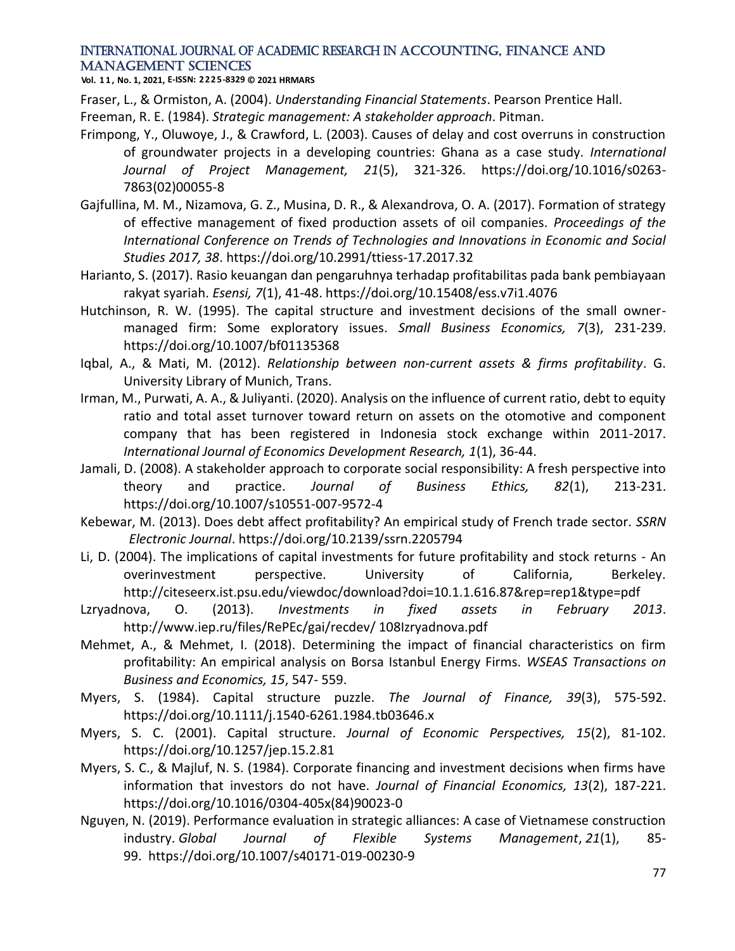**Vol. 1 1 , No. 1, 2021, E-ISSN: 2225-8329 © 2021 HRMARS**

Fraser, L., & Ormiston, A. (2004). *Understanding Financial Statements*. Pearson Prentice Hall.

Freeman, R. E. (1984). *Strategic management: A stakeholder approach*. Pitman.

- Frimpong, Y., Oluwoye, J., & Crawford, L. (2003). Causes of delay and cost overruns in construction of groundwater projects in a developing countries: Ghana as a case study. *International Journal of Project Management, 21*(5), 321-326. https://doi.org/10.1016/s0263- 7863(02)00055-8
- Gajfullina, M. M., Nizamova, G. Z., Musina, D. R., & Alexandrova, O. A. (2017). Formation of strategy of effective management of fixed production assets of oil companies. *Proceedings of the International Conference on Trends of Technologies and Innovations in Economic and Social Studies 2017, 38*. https://doi.org/10.2991/ttiess-17.2017.32
- Harianto, S. (2017). Rasio keuangan dan pengaruhnya terhadap profitabilitas pada bank pembiayaan rakyat syariah. *Esensi, 7*(1), 41-48. https://doi.org/10.15408/ess.v7i1.4076
- Hutchinson, R. W. (1995). The capital structure and investment decisions of the small ownermanaged firm: Some exploratory issues. *Small Business Economics, 7*(3), 231-239. https://doi.org/10.1007/bf01135368
- Iqbal, A., & Mati, M. (2012). *Relationship between non-current assets & firms profitability*. G. University Library of Munich, Trans.
- Irman, M., Purwati, A. A., & Juliyanti. (2020). Analysis on the influence of current ratio, debt to equity ratio and total asset turnover toward return on assets on the otomotive and component company that has been registered in Indonesia stock exchange within 2011-2017. *International Journal of Economics Development Research, 1*(1), 36-44.
- Jamali, D. (2008). A stakeholder approach to corporate social responsibility: A fresh perspective into theory and practice. *Journal of Business Ethics, 82*(1), 213-231. https://doi.org/10.1007/s10551-007-9572-4
- Kebewar, M. (2013). Does debt affect profitability? An empirical study of French trade sector. *SSRN Electronic Journal*. https://doi.org/10.2139/ssrn.2205794
- Li, D. (2004). The implications of capital investments for future profitability and stock returns An overinvestment perspective. University of California, Berkeley. http://citeseerx.ist.psu.edu/viewdoc/download?doi=10.1.1.616.87&rep=rep1&type=pdf
- Lzryadnova, O. (2013). *Investments in fixed assets in February 2013*. http://www.iep.ru/files/RePEc/gai/recdev/ 108Izryadnova.pdf
- Mehmet, A., & Mehmet, I. (2018). Determining the impact of financial characteristics on firm profitability: An empirical analysis on Borsa Istanbul Energy Firms. *WSEAS Transactions on Business and Economics, 15*, 547- 559.
- Myers, S. (1984). Capital structure puzzle. *The Journal of Finance, 39*(3), 575-592. https://doi.org/10.1111/j.1540-6261.1984.tb03646.x
- Myers, S. C. (2001). Capital structure. *Journal of Economic Perspectives, 15*(2), 81-102. https://doi.org/10.1257/jep.15.2.81
- Myers, S. C., & Majluf, N. S. (1984). Corporate financing and investment decisions when firms have information that investors do not have. *Journal of Financial Economics, 13*(2), 187-221. https://doi.org/10.1016/0304-405x(84)90023-0
- Nguyen, N. (2019). Performance evaluation in strategic alliances: A case of Vietnamese construction industry. *Global Journal of Flexible Systems Management*, *21*(1), 85- 99. https://doi.org/10.1007/s40171-019-00230-9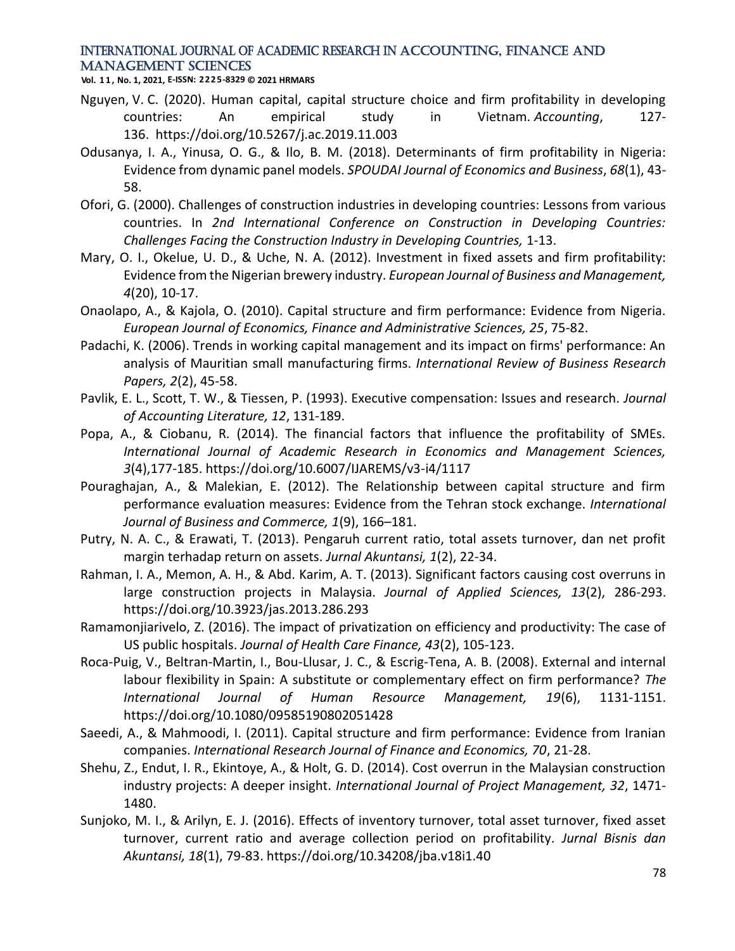**Vol. 1 1 , No. 1, 2021, E-ISSN: 2225-8329 © 2021 HRMARS**

- Nguyen, V. C. (2020). Human capital, capital structure choice and firm profitability in developing countries: An empirical study in Vietnam. *Accounting*, 127- 136. https://doi.org/10.5267/j.ac.2019.11.003
- Odusanya, I. A., Yinusa, O. G., & Ilo, B. M. (2018). Determinants of firm profitability in Nigeria: Evidence from dynamic panel models. *SPOUDAI Journal of Economics and Business*, *68*(1), 43- 58.
- Ofori, G. (2000). Challenges of construction industries in developing countries: Lessons from various countries. In *2nd International Conference on Construction in Developing Countries: Challenges Facing the Construction Industry in Developing Countries,* 1-13.
- Mary, O. I., Okelue, U. D., & Uche, N. A. (2012). Investment in fixed assets and firm profitability: Evidence from the Nigerian brewery industry. *European Journal of Business and Management, 4*(20), 10-17.
- Onaolapo, A., & Kajola, O. (2010). Capital structure and firm performance: Evidence from Nigeria. *European Journal of Economics, Finance and Administrative Sciences, 25*, 75-82.
- Padachi, K. (2006). Trends in working capital management and its impact on firms' performance: An analysis of Mauritian small manufacturing firms. *International Review of Business Research Papers, 2*(2), 45-58.
- Pavlik, E. L., Scott, T. W., & Tiessen, P. (1993). Executive compensation: Issues and research. *Journal of Accounting Literature, 12*, 131-189.
- Popa, A., & Ciobanu, R. (2014). The financial factors that influence the profitability of SMEs. *International Journal of Academic Research in Economics and Management Sciences, 3*(4),177-185. https://doi.org/10.6007/IJAREMS/v3-i4/1117
- Pouraghajan, A., & Malekian, E. (2012). The Relationship between capital structure and firm performance evaluation measures: Evidence from the Tehran stock exchange. *International Journal of Business and Commerce, 1*(9), 166–181.
- Putry, N. A. C., & Erawati, T. (2013). Pengaruh current ratio, total assets turnover, dan net profit margin terhadap return on assets. *Jurnal Akuntansi, 1*(2), 22-34.
- Rahman, I. A., Memon, A. H., & Abd. Karim, A. T. (2013). Significant factors causing cost overruns in large construction projects in Malaysia. *Journal of Applied Sciences, 13*(2), 286-293. https://doi.org/10.3923/jas.2013.286.293
- Ramamonjiarivelo, Z. (2016). The impact of privatization on efficiency and productivity: The case of US public hospitals. *Journal of Health Care Finance, 43*(2), 105-123.
- Roca-Puig, V., Beltran-Martin, I., Bou-Llusar, J. C., & Escrig-Tena, A. B. (2008). External and internal labour flexibility in Spain: A substitute or complementary effect on firm performance? *The International Journal of Human Resource Management, 19*(6), 1131-1151. https://doi.org/10.1080/09585190802051428
- Saeedi, A., & Mahmoodi, I. (2011). Capital structure and firm performance: Evidence from Iranian companies. *International Research Journal of Finance and Economics, 70*, 21-28.
- Shehu, Z., Endut, I. R., Ekintoye, A., & Holt, G. D. (2014). Cost overrun in the Malaysian construction industry projects: A deeper insight. *International Journal of Project Management, 32*, 1471- 1480.
- Sunjoko, M. I., & Arilyn, E. J. (2016). Effects of inventory turnover, total asset turnover, fixed asset turnover, current ratio and average collection period on profitability. *Jurnal Bisnis dan Akuntansi, 18*(1), 79-83. https://doi.org/10.34208/jba.v18i1.40